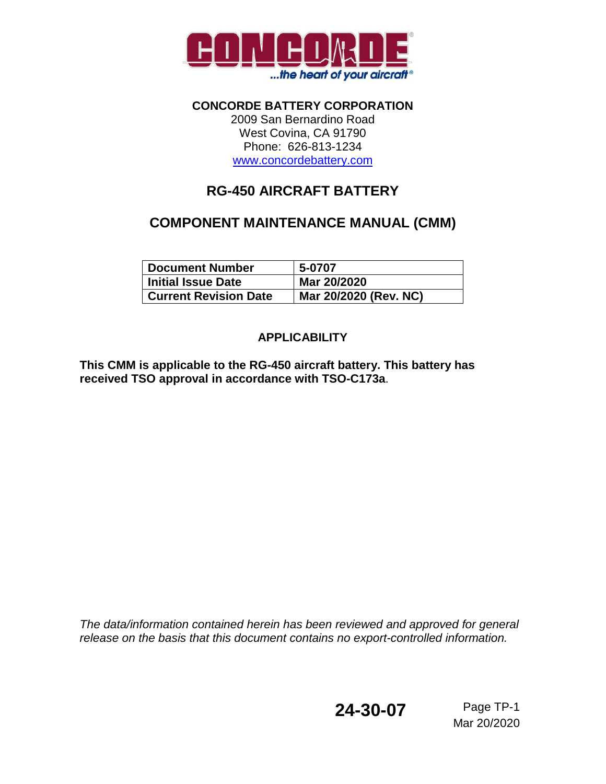

**CONCORDE BATTERY CORPORATION** 2009 San Bernardino Road West Covina, CA 91790 Phone: 626-813-1234 www.concordebattery.com

# **RG-450 AIRCRAFT BATTERY**

# **COMPONENT MAINTENANCE MANUAL (CMM)**

| <b>Document Number</b>       | 5-0707                |
|------------------------------|-----------------------|
| <b>Initial Issue Date</b>    | Mar 20/2020           |
| <b>Current Revision Date</b> | Mar 20/2020 (Rev. NC) |

# **APPLICABILITY**

**This CMM is applicable to the RG-450 aircraft battery. This battery has received TSO approval in accordance with TSO-C173a**.

*The data/information contained herein has been reviewed and approved for general release on the basis that this document contains no export-controlled information.*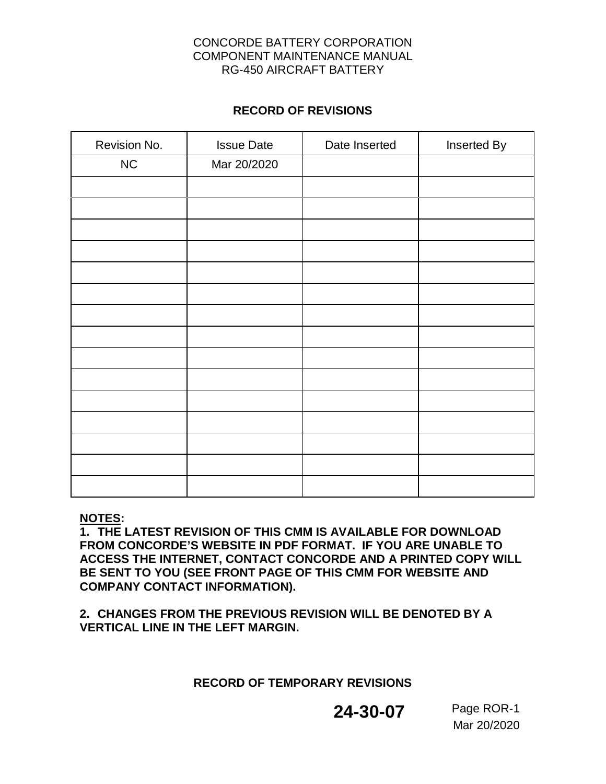### **RECORD OF REVISIONS**

| Revision No. | <b>Issue Date</b> | Date Inserted | Inserted By |
|--------------|-------------------|---------------|-------------|
| $NC$         | Mar 20/2020       |               |             |
|              |                   |               |             |
|              |                   |               |             |
|              |                   |               |             |
|              |                   |               |             |
|              |                   |               |             |
|              |                   |               |             |
|              |                   |               |             |
|              |                   |               |             |
|              |                   |               |             |
|              |                   |               |             |
|              |                   |               |             |
|              |                   |               |             |
|              |                   |               |             |
|              |                   |               |             |
|              |                   |               |             |

### **NOTES:**

**1. THE LATEST REVISION OF THIS CMM IS AVAILABLE FOR DOWNLOAD FROM CONCORDE'S WEBSITE IN PDF FORMAT. IF YOU ARE UNABLE TO ACCESS THE INTERNET, CONTACT CONCORDE AND A PRINTED COPY WILL BE SENT TO YOU (SEE FRONT PAGE OF THIS CMM FOR WEBSITE AND COMPANY CONTACT INFORMATION).**

**2. CHANGES FROM THE PREVIOUS REVISION WILL BE DENOTED BY A VERTICAL LINE IN THE LEFT MARGIN.**

### **RECORD OF TEMPORARY REVISIONS**

# **24-30-07** Page ROR-1

Mar 20/2020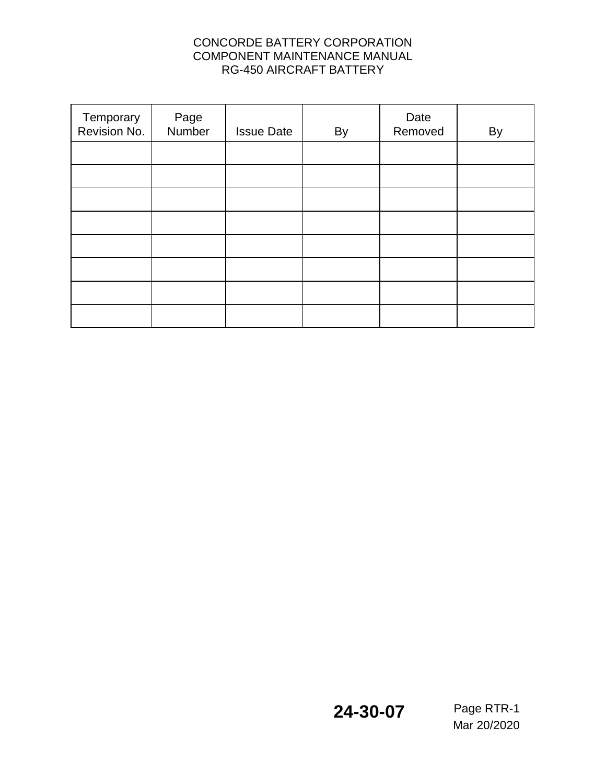| Temporary<br>Revision No. | Page<br>Number | <b>Issue Date</b> | By | Date<br>Removed | By |
|---------------------------|----------------|-------------------|----|-----------------|----|
|                           |                |                   |    |                 |    |
|                           |                |                   |    |                 |    |
|                           |                |                   |    |                 |    |
|                           |                |                   |    |                 |    |
|                           |                |                   |    |                 |    |
|                           |                |                   |    |                 |    |
|                           |                |                   |    |                 |    |
|                           |                |                   |    |                 |    |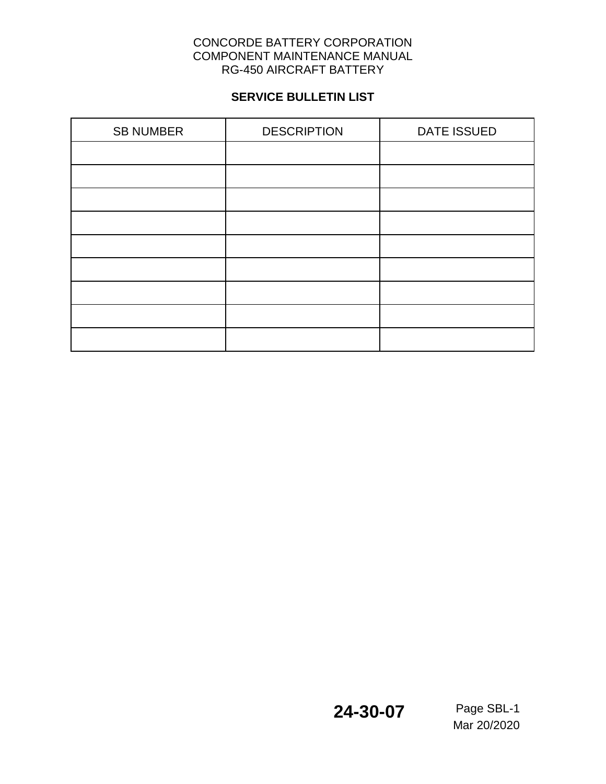# **SERVICE BULLETIN LIST**

| <b>SB NUMBER</b> | <b>DESCRIPTION</b> | <b>DATE ISSUED</b> |  |  |
|------------------|--------------------|--------------------|--|--|
|                  |                    |                    |  |  |
|                  |                    |                    |  |  |
|                  |                    |                    |  |  |
|                  |                    |                    |  |  |
|                  |                    |                    |  |  |
|                  |                    |                    |  |  |
|                  |                    |                    |  |  |
|                  |                    |                    |  |  |
|                  |                    |                    |  |  |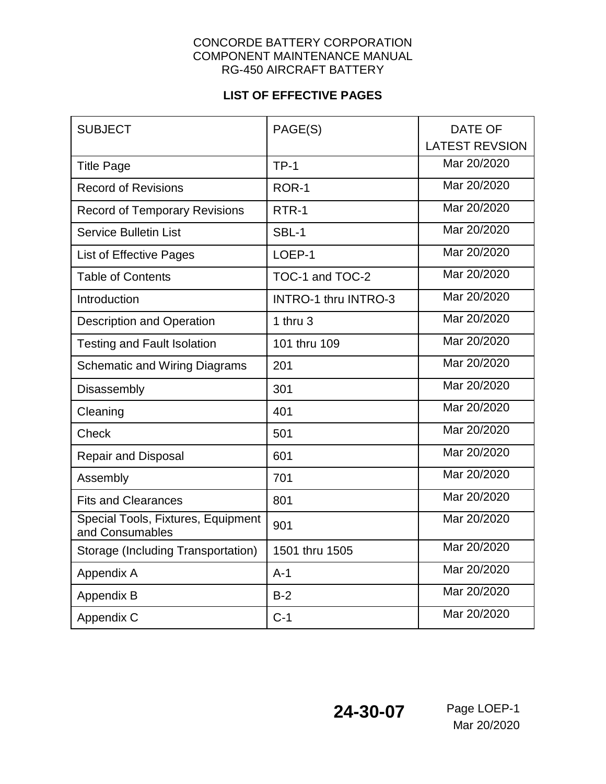# **LIST OF EFFECTIVE PAGES**

| <b>SUBJECT</b>                                        | PAGE(S)                     | <b>DATE OF</b><br><b>LATEST REVSION</b> |
|-------------------------------------------------------|-----------------------------|-----------------------------------------|
| <b>Title Page</b>                                     | $TP-1$                      | Mar 20/2020                             |
| <b>Record of Revisions</b>                            | ROR-1                       | Mar 20/2020                             |
| <b>Record of Temporary Revisions</b>                  | RTR-1                       | Mar 20/2020                             |
| <b>Service Bulletin List</b>                          | SBL-1                       | Mar 20/2020                             |
| List of Effective Pages                               | LOEP-1                      | Mar 20/2020                             |
| <b>Table of Contents</b>                              | TOC-1 and TOC-2             | Mar 20/2020                             |
| Introduction                                          | <b>INTRO-1 thru INTRO-3</b> | Mar 20/2020                             |
| <b>Description and Operation</b>                      | 1 thru $3$                  | Mar 20/2020                             |
| <b>Testing and Fault Isolation</b>                    | 101 thru 109                | Mar 20/2020                             |
| <b>Schematic and Wiring Diagrams</b>                  | 201                         | Mar 20/2020                             |
| Disassembly                                           | 301                         | Mar 20/2020                             |
| Cleaning                                              | 401                         | Mar 20/2020                             |
| Check                                                 | 501                         | Mar 20/2020                             |
| <b>Repair and Disposal</b>                            | 601                         | Mar 20/2020                             |
| Assembly                                              | 701                         | Mar 20/2020                             |
| <b>Fits and Clearances</b>                            | 801                         | Mar 20/2020                             |
| Special Tools, Fixtures, Equipment<br>and Consumables | 901                         | Mar 20/2020                             |
| Storage (Including Transportation)                    | 1501 thru 1505              | Mar 20/2020                             |
| Appendix A                                            | $A-1$                       | Mar 20/2020                             |
| Appendix B                                            | $B-2$                       | Mar 20/2020                             |
| Appendix C                                            | $C-1$                       | Mar 20/2020                             |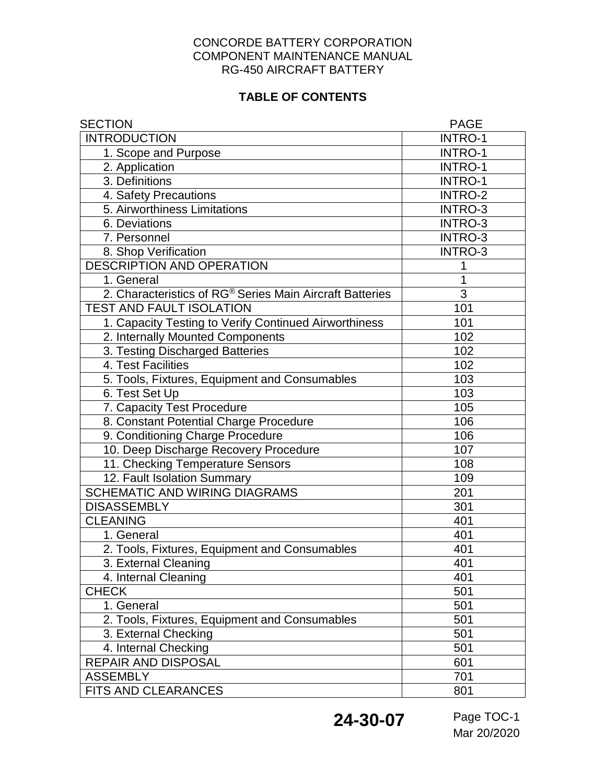# **TABLE OF CONTENTS**

| <b>SECTION</b>                                           | <b>PAGE</b>    |
|----------------------------------------------------------|----------------|
| <b>INTRODUCTION</b>                                      | <b>INTRO-1</b> |
| 1. Scope and Purpose                                     | INTRO-1        |
| 2. Application                                           | <b>INTRO-1</b> |
| 3. Definitions                                           | <b>INTRO-1</b> |
| 4. Safety Precautions                                    | <b>INTRO-2</b> |
| 5. Airworthiness Limitations                             | <b>INTRO-3</b> |
| 6. Deviations                                            | <b>INTRO-3</b> |
| 7. Personnel                                             | <b>INTRO-3</b> |
| 8. Shop Verification                                     | <b>INTRO-3</b> |
| DESCRIPTION AND OPERATION                                | 1              |
| 1. General                                               | 1              |
| 2. Characteristics of RG® Series Main Aircraft Batteries | $\overline{3}$ |
| <b>TEST AND FAULT ISOLATION</b>                          | 101            |
| 1. Capacity Testing to Verify Continued Airworthiness    | 101            |
| 2. Internally Mounted Components                         | 102            |
| 3. Testing Discharged Batteries                          | 102            |
| 4. Test Facilities                                       | 102            |
| 5. Tools, Fixtures, Equipment and Consumables            | 103            |
| 6. Test Set Up                                           | 103            |
| 7. Capacity Test Procedure                               | 105            |
| 8. Constant Potential Charge Procedure                   | 106            |
| 9. Conditioning Charge Procedure                         | 106            |
| 10. Deep Discharge Recovery Procedure                    | 107            |
| 11. Checking Temperature Sensors                         | 108            |
| 12. Fault Isolation Summary                              | 109            |
| <b>SCHEMATIC AND WIRING DIAGRAMS</b>                     | 201            |
| <b>DISASSEMBLY</b>                                       | 301            |
| <b>CLEANING</b>                                          | 401            |
| 1. General                                               | 401            |
| 2. Tools, Fixtures, Equipment and Consumables            | 401            |
| 3. External Cleaning                                     | 401            |
| 4. Internal Cleaning                                     | 401            |
| <b>CHECK</b>                                             | 501            |
| 1. General                                               | 501            |
| 2. Tools, Fixtures, Equipment and Consumables            | 501            |
| 3. External Checking                                     | 501            |
| 4. Internal Checking                                     | 501            |
| REPAIR AND DISPOSAL                                      | 601            |
| <b>ASSEMBLY</b>                                          | 701            |
| FITS AND CLEARANCES                                      | 801            |

**24-30-07** Page TOC-1

Mar 20/2020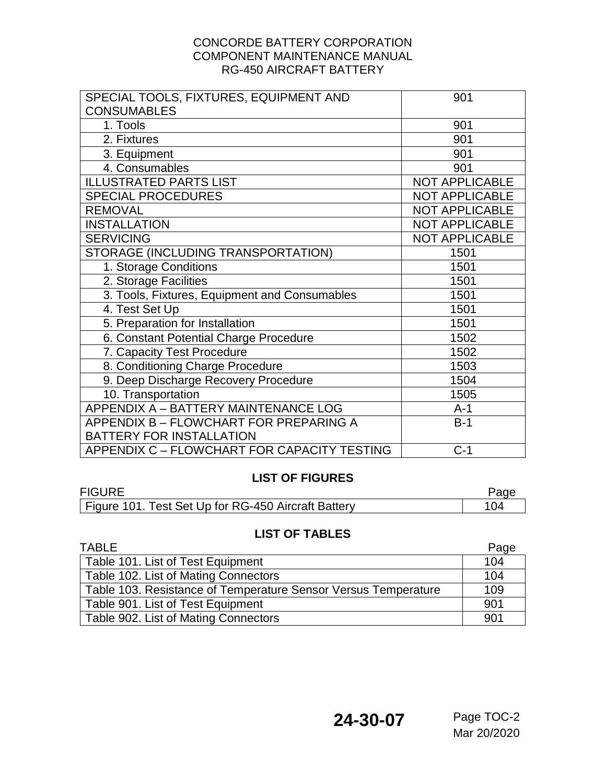| SPECIAL TOOLS, FIXTURES, EQUIPMENT AND        | 901                   |
|-----------------------------------------------|-----------------------|
| <b>CONSUMABLES</b>                            |                       |
| 1. Tools                                      | 901                   |
| 2. Fixtures                                   | 901                   |
| 3. Equipment                                  | 901                   |
| 4. Consumables                                | 901                   |
| <b>ILLUSTRATED PARTS LIST</b>                 | <b>NOT APPLICABLE</b> |
| <b>SPECIAL PROCEDURES</b>                     | <b>NOT APPLICABLE</b> |
| <b>REMOVAL</b>                                | <b>NOT APPLICABLE</b> |
| <b>INSTALLATION</b>                           | <b>NOT APPLICABLE</b> |
| <b>SERVICING</b>                              | <b>NOT APPLICABLE</b> |
| STORAGE (INCLUDING TRANSPORTATION)            | 1501                  |
| 1. Storage Conditions                         | 1501                  |
| 2. Storage Facilities                         | 1501                  |
| 3. Tools, Fixtures, Equipment and Consumables | 1501                  |
| 4. Test Set Up                                | 1501                  |
| 5. Preparation for Installation               | 1501                  |
| 6. Constant Potential Charge Procedure        | 1502                  |
| 7. Capacity Test Procedure                    | 1502                  |
| 8. Conditioning Charge Procedure              | 1503                  |
| 9. Deep Discharge Recovery Procedure          | 1504                  |
| 10. Transportation                            | 1505                  |
| APPENDIX A - BATTERY MAINTENANCE LOG          | $A-1$                 |
| APPENDIX B - FLOWCHART FOR PREPARING A        | $B-1$                 |
| <b>BATTERY FOR INSTALLATION</b>               |                       |
| APPENDIX C - FLOWCHART FOR CAPACITY TESTING   | $C-1$                 |

### **LIST OF FIGURES**

| <b>FIGURE</b>                                       |     |
|-----------------------------------------------------|-----|
| Figure 101. Test Set Up for RG-450 Aircraft Battery | 104 |

### **LIST OF TABLES**

| TABLE                                                          | Page |
|----------------------------------------------------------------|------|
| Table 101. List of Test Equipment                              | 104  |
| Table 102. List of Mating Connectors                           | 104  |
| Table 103. Resistance of Temperature Sensor Versus Temperature | 109  |
| Table 901. List of Test Equipment                              | 901  |
| Table 902. List of Mating Connectors                           | 901  |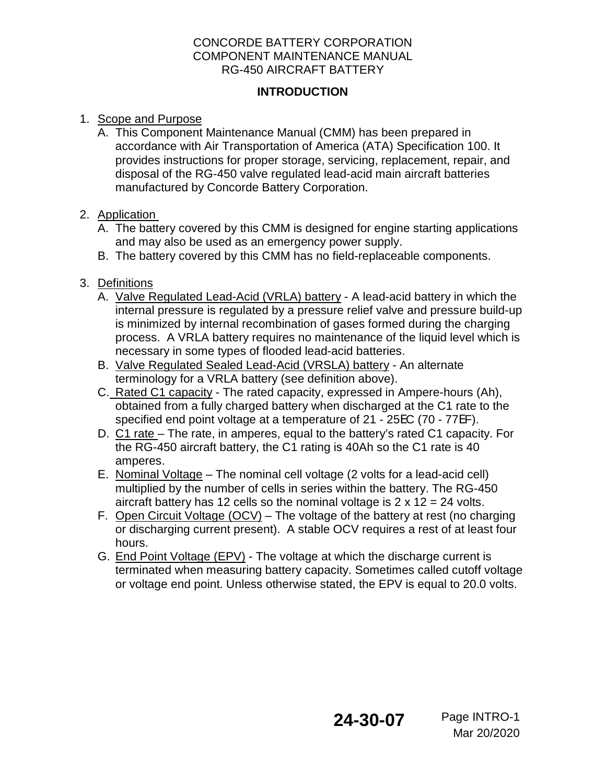### **INTRODUCTION**

- 1. Scope and Purpose
	- A. This Component Maintenance Manual (CMM) has been prepared in accordance with Air Transportation of America (ATA) Specification 100. It provides instructions for proper storage, servicing, replacement, repair, and disposal of the RG-450 valve regulated lead-acid main aircraft batteries manufactured by Concorde Battery Corporation.
- 2. Application
	- A. The battery covered by this CMM is designed for engine starting applications and may also be used as an emergency power supply.
	- B. The battery covered by this CMM has no field-replaceable components.
- 3. Definitions
	- A. Valve Regulated Lead-Acid (VRLA) battery A lead-acid battery in which the internal pressure is regulated by a pressure relief valve and pressure build-up is minimized by internal recombination of gases formed during the charging process. A VRLA battery requires no maintenance of the liquid level which is necessary in some types of flooded lead-acid batteries.
	- B. Valve Regulated Sealed Lead-Acid (VRSLA) battery An alternate terminology for a VRLA battery (see definition above).
	- C. Rated C1 capacity The rated capacity, expressed in Ampere-hours (Ah), obtained from a fully charged battery when discharged at the C1 rate to the specified end point voltage at a temperature of 21 - 25EC (70 - 77EF).
	- D. C1 rate The rate, in amperes, equal to the battery's rated C1 capacity. For the RG-450 aircraft battery, the C1 rating is 40Ah so the C1 rate is 40 amperes.
	- E. Nominal Voltage The nominal cell voltage (2 volts for a lead-acid cell) multiplied by the number of cells in series within the battery. The RG-450 aircraft battery has 12 cells so the nominal voltage is  $2 \times 12 = 24$  volts.
	- F. Open Circuit Voltage (OCV) The voltage of the battery at rest (no charging or discharging current present). A stable OCV requires a rest of at least four hours.
	- G. End Point Voltage (EPV) The voltage at which the discharge current is terminated when measuring battery capacity. Sometimes called cutoff voltage or voltage end point. Unless otherwise stated, the EPV is equal to 20.0 volts.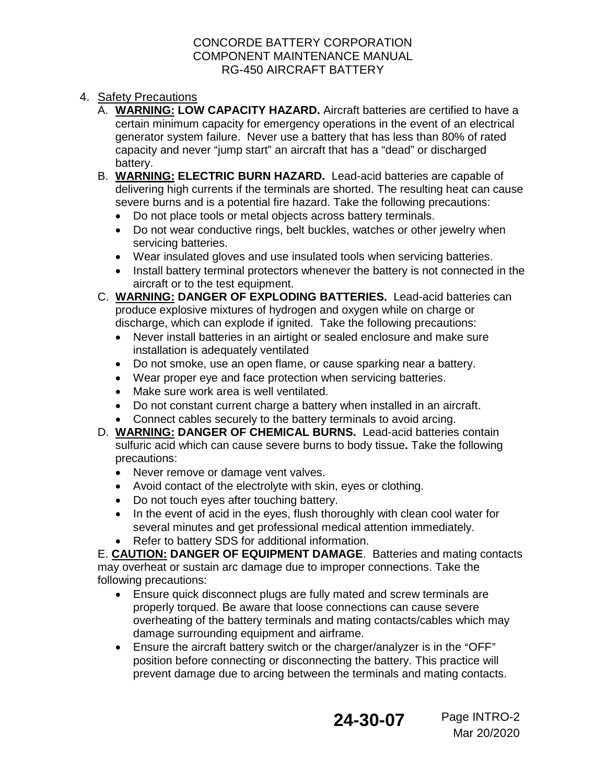- 4. Safety Precautions
	- A. **WARNING: LOW CAPACITY HAZARD.** Aircraft batteries are certified to have a certain minimum capacity for emergency operations in the event of an electrical generator system failure. Never use a battery that has less than 80% of rated capacity and never "jump start" an aircraft that has a "dead" or discharged battery.
	- B. **WARNING: ELECTRIC BURN HAZARD.** Lead-acid batteries are capable of delivering high currents if the terminals are shorted. The resulting heat can cause severe burns and is a potential fire hazard. Take the following precautions:
		- Do not place tools or metal objects across battery terminals.
		- Do not wear conductive rings, belt buckles, watches or other jewelry when servicing batteries.
		- Wear insulated gloves and use insulated tools when servicing batteries.
		- Install battery terminal protectors whenever the battery is not connected in the aircraft or to the test equipment.
	- C. **WARNING: DANGER OF EXPLODING BATTERIES.** Lead-acid batteries can produce explosive mixtures of hydrogen and oxygen while on charge or discharge, which can explode if ignited. Take the following precautions:
		- Never install batteries in an airtight or sealed enclosure and make sure installation is adequately ventilated
		- Do not smoke, use an open flame, or cause sparking near a battery.
		- Wear proper eye and face protection when servicing batteries.
		- Make sure work area is well ventilated.
		- Do not constant current charge a battery when installed in an aircraft.
		- Connect cables securely to the battery terminals to avoid arcing.
	- D. **WARNING: DANGER OF CHEMICAL BURNS.** Lead-acid batteries contain sulfuric acid which can cause severe burns to body tissue**.** Take the following precautions:
		- Never remove or damage vent valves.
		- Avoid contact of the electrolyte with skin, eyes or clothing.
		- Do not touch eyes after touching battery.
		- In the event of acid in the eyes, flush thoroughly with clean cool water for several minutes and get professional medical attention immediately.
		- Refer to battery SDS for additional information.

E. **CAUTION: DANGER OF EQUIPMENT DAMAGE**. Batteries and mating contacts may overheat or sustain arc damage due to improper connections. Take the following precautions:

- Ensure quick disconnect plugs are fully mated and screw terminals are properly torqued. Be aware that loose connections can cause severe overheating of the battery terminals and mating contacts/cables which may damage surrounding equipment and airframe.
- **•** Ensure the aircraft battery switch or the charger/analyzer is in the "OFF" position before connecting or disconnecting the battery. This practice will prevent damage due to arcing between the terminals and mating contacts.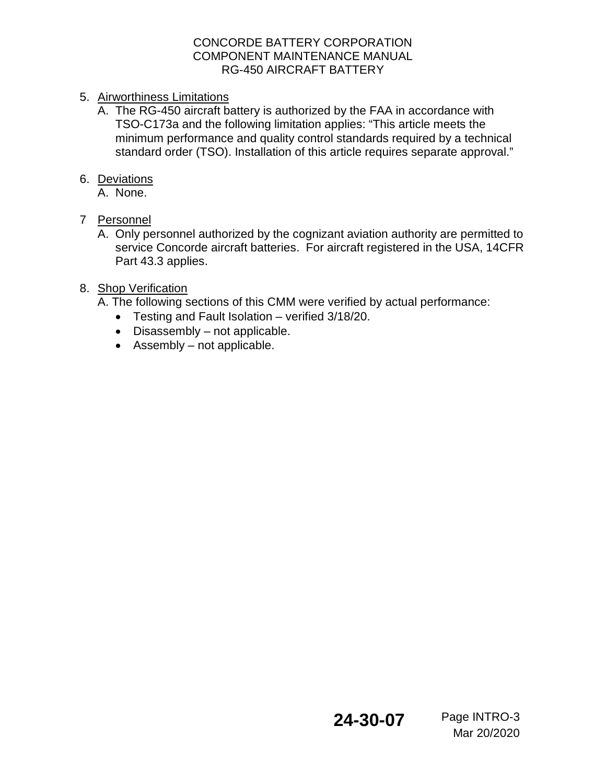- 5. Airworthiness Limitations
	- A. The RG-450 aircraft battery is authorized by the FAA in accordance with TSO-C173a and the following limitation applies: "This article meets the minimum performance and quality control standards required by a technical standard order (TSO). Installation of this article requires separate approval."

### 6. Deviations

A. None.

## 7 Personnel

A. Only personnel authorized by the cognizant aviation authority are permitted to service Concorde aircraft batteries. For aircraft registered in the USA, 14CFR Part 43.3 applies.

## 8. Shop Verification

- A. The following sections of this CMM were verified by actual performance:
	- Testing and Fault Isolation verified 3/18/20.
	- Disassembly not applicable.
	- Assembly not applicable.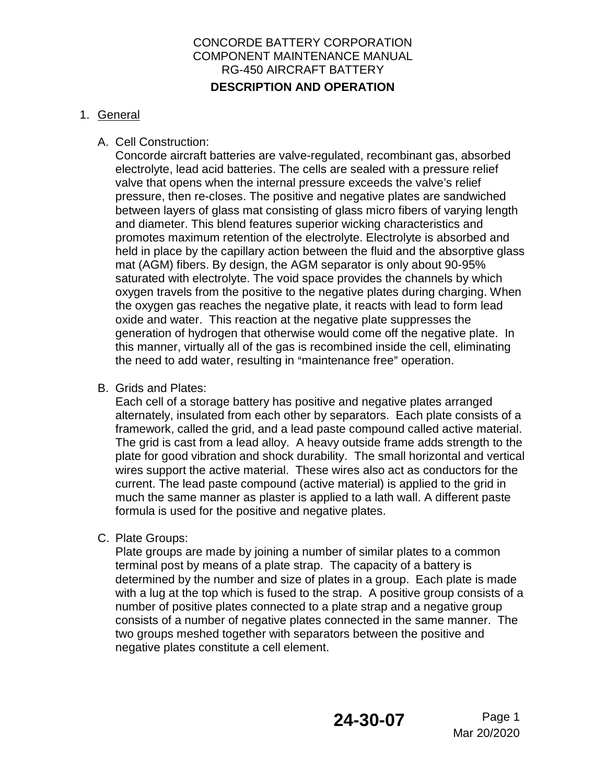### CONCORDE BATTERY CORPORATION COMPONENT MAINTENANCE MANUAL RG-450 AIRCRAFT BATTERY **DESCRIPTION AND OPERATION**

## 1. General

## A. Cell Construction:

Concorde aircraft batteries are valve-regulated, recombinant gas, absorbed electrolyte, lead acid batteries. The cells are sealed with a pressure relief valve that opens when the internal pressure exceeds the valve's relief pressure, then re-closes. The positive and negative plates are sandwiched between layers of glass mat consisting of glass micro fibers of varying length and diameter. This blend features superior wicking characteristics and promotes maximum retention of the electrolyte. Electrolyte is absorbed and held in place by the capillary action between the fluid and the absorptive glass mat (AGM) fibers. By design, the AGM separator is only about 90-95% saturated with electrolyte. The void space provides the channels by which oxygen travels from the positive to the negative plates during charging. When the oxygen gas reaches the negative plate, it reacts with lead to form lead oxide and water. This reaction at the negative plate suppresses the generation of hydrogen that otherwise would come off the negative plate. In this manner, virtually all of the gas is recombined inside the cell, eliminating the need to add water, resulting in "maintenance free" operation.

B. Grids and Plates:

Each cell of a storage battery has positive and negative plates arranged alternately, insulated from each other by separators. Each plate consists of a framework, called the grid, and a lead paste compound called active material. The grid is cast from a lead alloy. A heavy outside frame adds strength to the plate for good vibration and shock durability. The small horizontal and vertical wires support the active material. These wires also act as conductors for the current. The lead paste compound (active material) is applied to the grid in much the same manner as plaster is applied to a lath wall. A different paste formula is used for the positive and negative plates.

C. Plate Groups:

Plate groups are made by joining a number of similar plates to a common terminal post by means of a plate strap. The capacity of a battery is determined by the number and size of plates in a group. Each plate is made with a lug at the top which is fused to the strap. A positive group consists of a number of positive plates connected to a plate strap and a negative group consists of a number of negative plates connected in the same manner. The two groups meshed together with separators between the positive and negative plates constitute a cell element.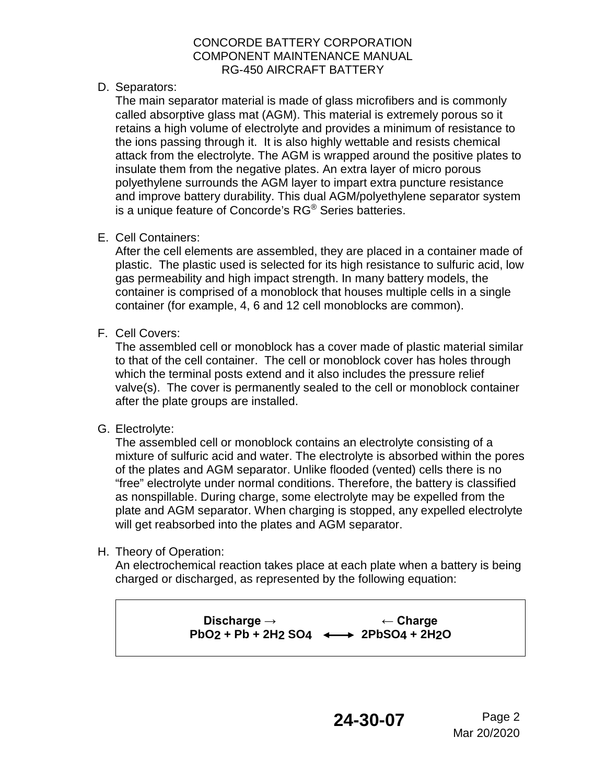D. Separators:

The main separator material is made of glass microfibers and is commonly called absorptive glass mat (AGM). This material is extremely porous so it retains a high volume of electrolyte and provides a minimum of resistance to the ions passing through it. It is also highly wettable and resists chemical attack from the electrolyte. The AGM is wrapped around the positive plates to insulate them from the negative plates. An extra layer of micro porous polyethylene surrounds the AGM layer to impart extra puncture resistance and improve battery durability. This dual AGM/polyethylene separator system is a unique feature of Concorde's RG® Series batteries.

E. Cell Containers:

After the cell elements are assembled, they are placed in a container made of plastic. The plastic used is selected for its high resistance to sulfuric acid, low gas permeability and high impact strength. In many battery models, the container is comprised of a monoblock that houses multiple cells in a single container (for example, 4, 6 and 12 cell monoblocks are common).

F. Cell Covers:

The assembled cell or monoblock has a cover made of plastic material similar to that of the cell container. The cell or monoblock cover has holes through which the terminal posts extend and it also includes the pressure relief valve(s). The cover is permanently sealed to the cell or monoblock container after the plate groups are installed.

G. Electrolyte:

The assembled cell or monoblock contains an electrolyte consisting of a mixture of sulfuric acid and water. The electrolyte is absorbed within the pores of the plates and AGM separator. Unlike flooded (vented) cells there is no "free" electrolyte under normal conditions. Therefore, the battery is classified as nonspillable. During charge, some electrolyte may be expelled from the plate and AGM separator. When charging is stopped, any expelled electrolyte will get reabsorbed into the plates and AGM separator.

H. Theory of Operation:

An electrochemical reaction takes place at each plate when a battery is being charged or discharged, as represented by the following equation:

> Discharge → **Example + Charge PbO2 + Pb + 2H2 SO4 2PbSO4 + 2H2O**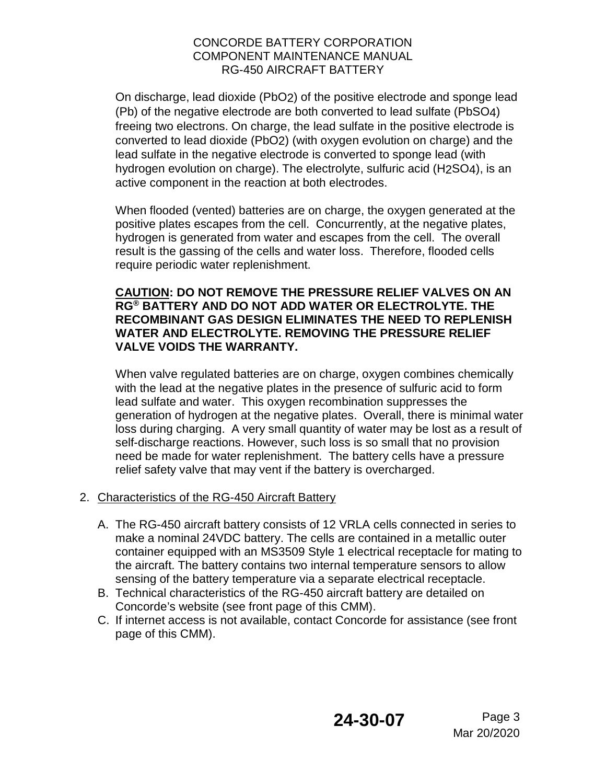On discharge, lead dioxide (PbO2) of the positive electrode and sponge lead (Pb) of the negative electrode are both converted to lead sulfate (PbSO4) freeing two electrons. On charge, the lead sulfate in the positive electrode is converted to lead dioxide (PbO2) (with oxygen evolution on charge) and the lead sulfate in the negative electrode is converted to sponge lead (with hydrogen evolution on charge). The electrolyte, sulfuric acid (H2SO4), is an active component in the reaction at both electrodes.

When flooded (vented) batteries are on charge, the oxygen generated at the positive plates escapes from the cell. Concurrently, at the negative plates, hydrogen is generated from water and escapes from the cell. The overall result is the gassing of the cells and water loss. Therefore, flooded cells require periodic water replenishment.

### **CAUTION: DO NOT REMOVE THE PRESSURE RELIEF VALVES ON AN RG® BATTERY AND DO NOT ADD WATER OR ELECTROLYTE. THE RECOMBINANT GAS DESIGN ELIMINATES THE NEED TO REPLENISH WATER AND ELECTROLYTE. REMOVING THE PRESSURE RELIEF VALVE VOIDS THE WARRANTY.**

When valve regulated batteries are on charge, oxygen combines chemically with the lead at the negative plates in the presence of sulfuric acid to form lead sulfate and water. This oxygen recombination suppresses the generation of hydrogen at the negative plates. Overall, there is minimal water loss during charging. A very small quantity of water may be lost as a result of self-discharge reactions. However, such loss is so small that no provision need be made for water replenishment. The battery cells have a pressure relief safety valve that may vent if the battery is overcharged.

- 2. Characteristics of the RG-450 Aircraft Battery
	- A. The RG-450 aircraft battery consists of 12 VRLA cells connected in series to make a nominal 24VDC battery. The cells are contained in a metallic outer container equipped with an MS3509 Style 1 electrical receptacle for mating to the aircraft. The battery contains two internal temperature sensors to allow sensing of the battery temperature via a separate electrical receptacle.
	- B. Technical characteristics of the RG-450 aircraft battery are detailed on Concorde's website (see front page of this CMM).
	- C. If internet access is not available, contact Concorde for assistance (see front page of this CMM).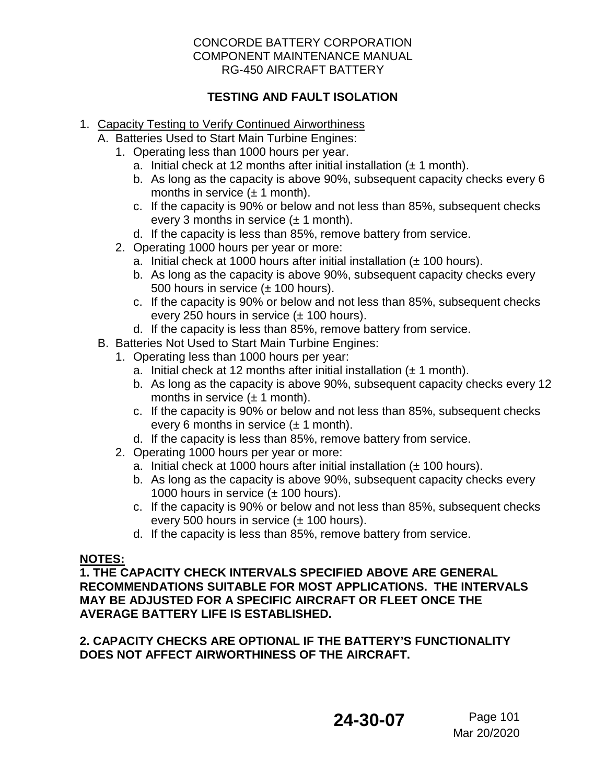### **TESTING AND FAULT ISOLATION**

- 1. Capacity Testing to Verify Continued Airworthiness
	- A. Batteries Used to Start Main Turbine Engines:
		- 1. Operating less than 1000 hours per year.
			- a. Initial check at 12 months after initial installation  $(\pm 1 \text{ month})$ .
			- b. As long as the capacity is above 90%, subsequent capacity checks every 6 months in service  $(\pm 1 \text{ month})$ .
			- c. If the capacity is 90% or below and not less than 85%, subsequent checks every 3 months in service  $(\pm 1 \text{ month})$ .
			- d. If the capacity is less than 85%, remove battery from service.
		- 2. Operating 1000 hours per year or more:
			- a. Initial check at 1000 hours after initial installation  $(± 100$  hours).
			- b. As long as the capacity is above 90%, subsequent capacity checks every 500 hours in service  $(\pm 100$  hours).
			- c. If the capacity is 90% or below and not less than 85%, subsequent checks every 250 hours in service  $(\pm 100$  hours).
			- d. If the capacity is less than 85%, remove battery from service.
	- B. Batteries Not Used to Start Main Turbine Engines:
		- 1. Operating less than 1000 hours per year:
			- a. Initial check at 12 months after initial installation  $(\pm 1 \text{ month})$ .
			- b. As long as the capacity is above 90%, subsequent capacity checks every 12 months in service  $(\pm 1 \text{ month})$ .
			- c. If the capacity is 90% or below and not less than 85%, subsequent checks every 6 months in service  $(\pm 1 \text{ month})$ .
			- d. If the capacity is less than 85%, remove battery from service.
		- 2. Operating 1000 hours per year or more:
			- a. Initial check at 1000 hours after initial installation  $(± 100$  hours).
			- b. As long as the capacity is above 90%, subsequent capacity checks every 1000 hours in service  $(\pm 100$  hours).
			- c. If the capacity is 90% or below and not less than 85%, subsequent checks every 500 hours in service  $(\pm 100$  hours).
			- d. If the capacity is less than 85%, remove battery from service.

### **NOTES:**

**1. THE CAPACITY CHECK INTERVALS SPECIFIED ABOVE ARE GENERAL RECOMMENDATIONS SUITABLE FOR MOST APPLICATIONS. THE INTERVALS MAY BE ADJUSTED FOR A SPECIFIC AIRCRAFT OR FLEET ONCE THE AVERAGE BATTERY LIFE IS ESTABLISHED.** 

**2. CAPACITY CHECKS ARE OPTIONAL IF THE BATTERY'S FUNCTIONALITY DOES NOT AFFECT AIRWORTHINESS OF THE AIRCRAFT.**

**24-30-07** Page 101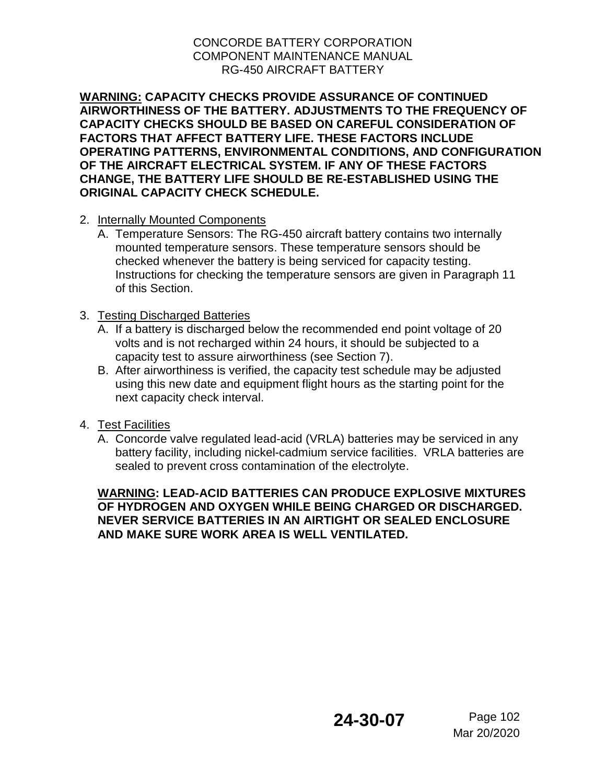**WARNING: CAPACITY CHECKS PROVIDE ASSURANCE OF CONTINUED AIRWORTHINESS OF THE BATTERY. ADJUSTMENTS TO THE FREQUENCY OF CAPACITY CHECKS SHOULD BE BASED ON CAREFUL CONSIDERATION OF FACTORS THAT AFFECT BATTERY LIFE. THESE FACTORS INCLUDE OPERATING PATTERNS, ENVIRONMENTAL CONDITIONS, AND CONFIGURATION OF THE AIRCRAFT ELECTRICAL SYSTEM. IF ANY OF THESE FACTORS CHANGE, THE BATTERY LIFE SHOULD BE RE-ESTABLISHED USING THE ORIGINAL CAPACITY CHECK SCHEDULE.** 

- 2. Internally Mounted Components
	- A. Temperature Sensors: The RG-450 aircraft battery contains two internally mounted temperature sensors. These temperature sensors should be checked whenever the battery is being serviced for capacity testing. Instructions for checking the temperature sensors are given in Paragraph 11 of this Section.
- 3. Testing Discharged Batteries
	- A. If a battery is discharged below the recommended end point voltage of 20 volts and is not recharged within 24 hours, it should be subjected to a capacity test to assure airworthiness (see Section 7).
	- B. After airworthiness is verified, the capacity test schedule may be adjusted using this new date and equipment flight hours as the starting point for the next capacity check interval.
- 4. Test Facilities
	- A. Concorde valve regulated lead-acid (VRLA) batteries may be serviced in any battery facility, including nickel-cadmium service facilities. VRLA batteries are sealed to prevent cross contamination of the electrolyte.

**WARNING: LEAD-ACID BATTERIES CAN PRODUCE EXPLOSIVE MIXTURES OF HYDROGEN AND OXYGEN WHILE BEING CHARGED OR DISCHARGED. NEVER SERVICE BATTERIES IN AN AIRTIGHT OR SEALED ENCLOSURE AND MAKE SURE WORK AREA IS WELL VENTILATED.**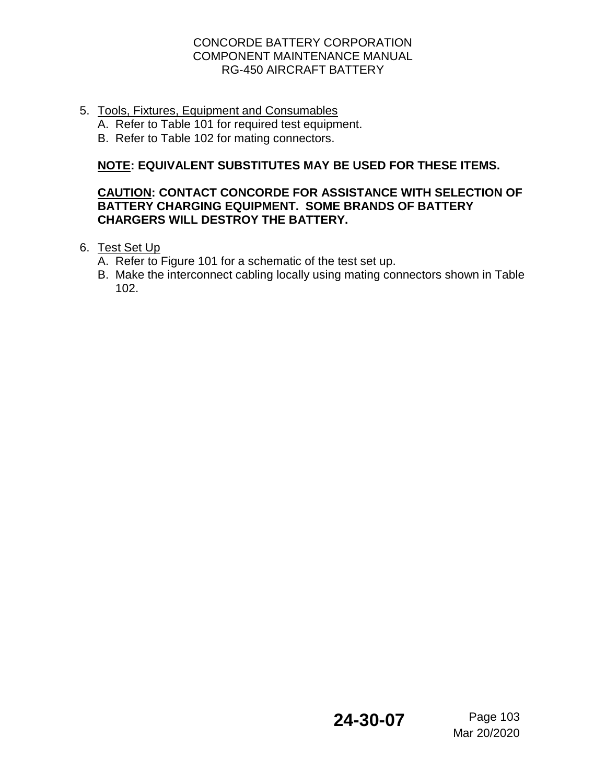5. Tools, Fixtures, Equipment and Consumables

A. Refer to Table 101 for required test equipment.

B. Refer to Table 102 for mating connectors.

# **NOTE: EQUIVALENT SUBSTITUTES MAY BE USED FOR THESE ITEMS.**

## **CAUTION: CONTACT CONCORDE FOR ASSISTANCE WITH SELECTION OF BATTERY CHARGING EQUIPMENT. SOME BRANDS OF BATTERY CHARGERS WILL DESTROY THE BATTERY.**

- 6. Test Set Up
	- A. Refer to Figure 101 for a schematic of the test set up.
	- B. Make the interconnect cabling locally using mating connectors shown in Table 102.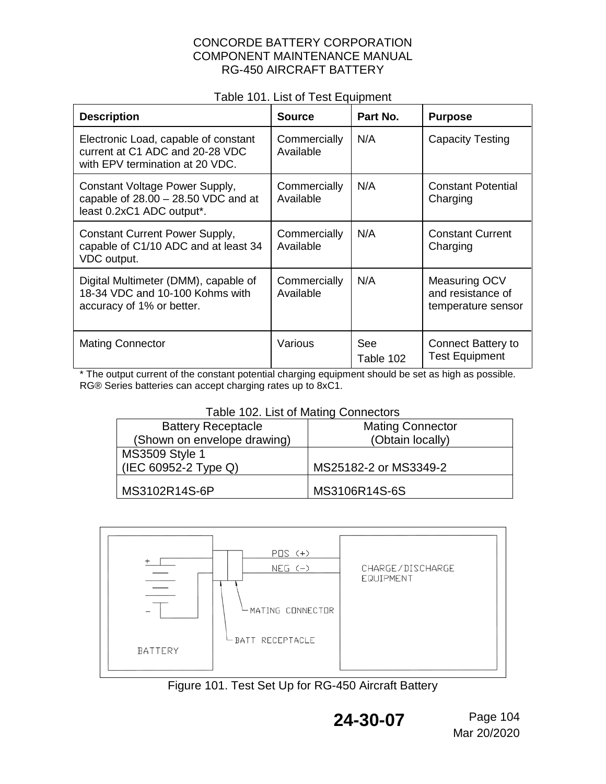### Table 101. List of Test Equipment

| <b>Description</b>                                                                                         | <b>Source</b>             | Part No.         | <b>Purpose</b>                                           |
|------------------------------------------------------------------------------------------------------------|---------------------------|------------------|----------------------------------------------------------|
| Electronic Load, capable of constant<br>current at C1 ADC and 20-28 VDC<br>with EPV termination at 20 VDC. | Commercially<br>Available | N/A              | <b>Capacity Testing</b>                                  |
| Constant Voltage Power Supply,<br>capable of $28.00 - 28.50$ VDC and at<br>least 0.2xC1 ADC output*.       | Commercially<br>Available | N/A              | <b>Constant Potential</b><br>Charging                    |
| <b>Constant Current Power Supply,</b><br>capable of C1/10 ADC and at least 34<br>VDC output.               | Commercially<br>Available | N/A              | <b>Constant Current</b><br>Charging                      |
| Digital Multimeter (DMM), capable of<br>18-34 VDC and 10-100 Kohms with<br>accuracy of 1% or better.       | Commercially<br>Available | N/A              | Measuring OCV<br>and resistance of<br>temperature sensor |
| <b>Mating Connector</b>                                                                                    | Various                   | See<br>Table 102 | <b>Connect Battery to</b><br><b>Test Equipment</b>       |

\* The output current of the constant potential charging equipment should be set as high as possible. RG® Series batteries can accept charging rates up to 8xC1.

#### Table 102. List of Mating Connectors

| <b>Battery Receptacle</b>   | <b>Mating Connector</b> |
|-----------------------------|-------------------------|
| (Shown on envelope drawing) | (Obtain locally)        |
| <b>MS3509 Style 1</b>       |                         |
| (IEC 60952-2 Type Q)        | MS25182-2 or MS3349-2   |
| MS3102R14S-6P               | MS3106R14S-6S           |



Figure 101. Test Set Up for RG-450 Aircraft Battery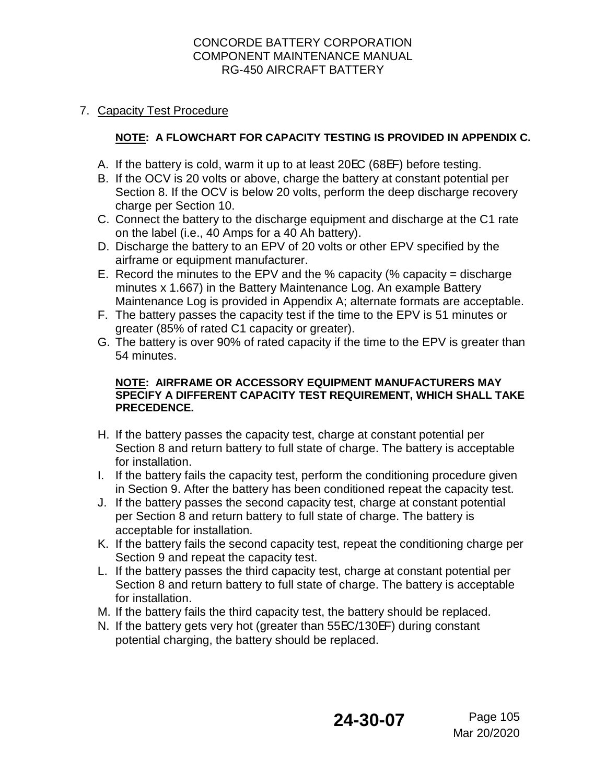### 7. Capacity Test Procedure

### **NOTE: A FLOWCHART FOR CAPACITY TESTING IS PROVIDED IN APPENDIX C.**

- A. If the battery is cold, warm it up to at least 20EC (68EF) before testing.
- B. If the OCV is 20 volts or above, charge the battery at constant potential per Section 8. If the OCV is below 20 volts, perform the deep discharge recovery charge per Section 10.
- C. Connect the battery to the discharge equipment and discharge at the C1 rate on the label (i.e., 40 Amps for a 40 Ah battery).
- D. Discharge the battery to an EPV of 20 volts or other EPV specified by the airframe or equipment manufacturer.
- E. Record the minutes to the EPV and the % capacity (% capacity = discharge minutes x 1.667) in the Battery Maintenance Log. An example Battery Maintenance Log is provided in Appendix A; alternate formats are acceptable.
- F. The battery passes the capacity test if the time to the EPV is 51 minutes or greater (85% of rated C1 capacity or greater).
- G. The battery is over 90% of rated capacity if the time to the EPV is greater than 54 minutes.

#### **NOTE: AIRFRAME OR ACCESSORY EQUIPMENT MANUFACTURERS MAY SPECIFY A DIFFERENT CAPACITY TEST REQUIREMENT, WHICH SHALL TAKE PRECEDENCE.**

- H. If the battery passes the capacity test, charge at constant potential per Section 8 and return battery to full state of charge. The battery is acceptable for installation.
- I. If the battery fails the capacity test, perform the conditioning procedure given in Section 9. After the battery has been conditioned repeat the capacity test.
- J. If the battery passes the second capacity test, charge at constant potential per Section 8 and return battery to full state of charge. The battery is acceptable for installation.
- K. If the battery fails the second capacity test, repeat the conditioning charge per Section 9 and repeat the capacity test.
- L. If the battery passes the third capacity test, charge at constant potential per Section 8 and return battery to full state of charge. The battery is acceptable for installation.
- M. If the battery fails the third capacity test, the battery should be replaced.
- N. If the battery gets very hot (greater than 55EC/130EF) during constant potential charging, the battery should be replaced.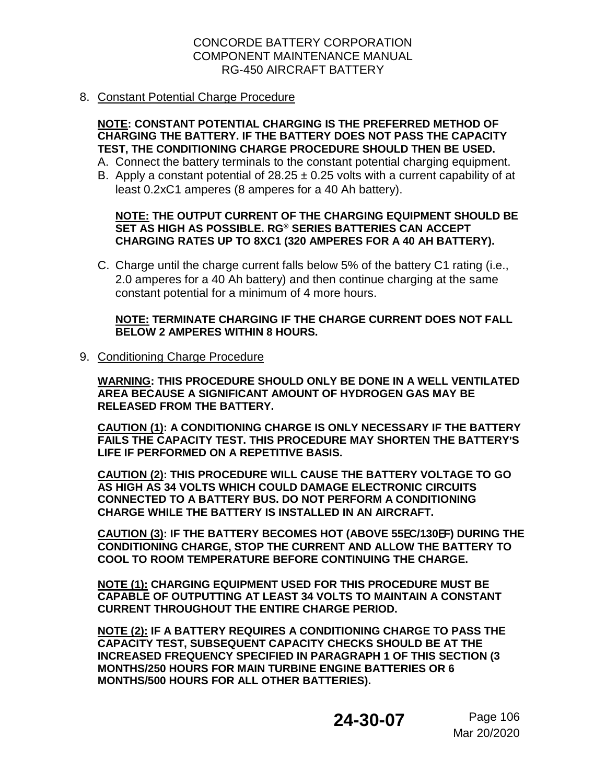#### 8. Constant Potential Charge Procedure

#### **NOTE: CONSTANT POTENTIAL CHARGING IS THE PREFERRED METHOD OF CHARGING THE BATTERY. IF THE BATTERY DOES NOT PASS THE CAPACITY TEST, THE CONDITIONING CHARGE PROCEDURE SHOULD THEN BE USED.**

- A. Connect the battery terminals to the constant potential charging equipment.
- B. Apply a constant potential of  $28.25 \pm 0.25$  volts with a current capability of at least 0.2xC1 amperes (8 amperes for a 40 Ah battery).

#### **NOTE: THE OUTPUT CURRENT OF THE CHARGING EQUIPMENT SHOULD BE SET AS HIGH AS POSSIBLE. RG® SERIES BATTERIES CAN ACCEPT CHARGING RATES UP TO 8XC1 (320 AMPERES FOR A 40 AH BATTERY).**

C. Charge until the charge current falls below 5% of the battery C1 rating (i.e., 2.0 amperes for a 40 Ah battery) and then continue charging at the same constant potential for a minimum of 4 more hours.

#### **NOTE: TERMINATE CHARGING IF THE CHARGE CURRENT DOES NOT FALL BELOW 2 AMPERES WITHIN 8 HOURS.**

9. Conditioning Charge Procedure

**WARNING: THIS PROCEDURE SHOULD ONLY BE DONE IN A WELL VENTILATED AREA BECAUSE A SIGNIFICANT AMOUNT OF HYDROGEN GAS MAY BE RELEASED FROM THE BATTERY.**

**CAUTION (1): A CONDITIONING CHARGE IS ONLY NECESSARY IF THE BATTERY FAILS THE CAPACITY TEST. THIS PROCEDURE MAY SHORTEN THE BATTERY**=**S LIFE IF PERFORMED ON A REPETITIVE BASIS.** 

**CAUTION (2): THIS PROCEDURE WILL CAUSE THE BATTERY VOLTAGE TO GO AS HIGH AS 34 VOLTS WHICH COULD DAMAGE ELECTRONIC CIRCUITS CONNECTED TO A BATTERY BUS. DO NOT PERFORM A CONDITIONING CHARGE WHILE THE BATTERY IS INSTALLED IN AN AIRCRAFT.**

**CAUTION (3): IF THE BATTERY BECOMES HOT (ABOVE 55**E**C/130**E**F) DURING THE CONDITIONING CHARGE, STOP THE CURRENT AND ALLOW THE BATTERY TO COOL TO ROOM TEMPERATURE BEFORE CONTINUING THE CHARGE.**

**NOTE (1): CHARGING EQUIPMENT USED FOR THIS PROCEDURE MUST BE CAPABLE OF OUTPUTTING AT LEAST 34 VOLTS TO MAINTAIN A CONSTANT CURRENT THROUGHOUT THE ENTIRE CHARGE PERIOD.** 

**NOTE (2): IF A BATTERY REQUIRES A CONDITIONING CHARGE TO PASS THE CAPACITY TEST, SUBSEQUENT CAPACITY CHECKS SHOULD BE AT THE INCREASED FREQUENCY SPECIFIED IN PARAGRAPH 1 OF THIS SECTION (3 MONTHS/250 HOURS FOR MAIN TURBINE ENGINE BATTERIES OR 6 MONTHS/500 HOURS FOR ALL OTHER BATTERIES).**

# **24-30-07** Page 106

Mar 20/2020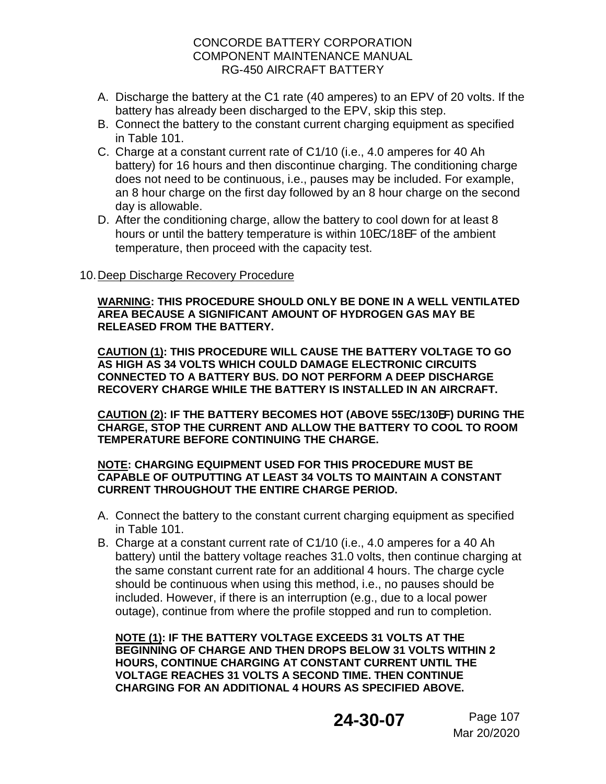- A. Discharge the battery at the C1 rate (40 amperes) to an EPV of 20 volts. If the battery has already been discharged to the EPV, skip this step.
- B. Connect the battery to the constant current charging equipment as specified in Table 101.
- C. Charge at a constant current rate of C1/10 (i.e., 4.0 amperes for 40 Ah battery) for 16 hours and then discontinue charging. The conditioning charge does not need to be continuous, i.e., pauses may be included. For example, an 8 hour charge on the first day followed by an 8 hour charge on the second day is allowable.
- D. After the conditioning charge, allow the battery to cool down for at least 8 hours or until the battery temperature is within 10EC/18EF of the ambient temperature, then proceed with the capacity test.

### 10. Deep Discharge Recovery Procedure

#### **WARNING: THIS PROCEDURE SHOULD ONLY BE DONE IN A WELL VENTILATED AREA BECAUSE A SIGNIFICANT AMOUNT OF HYDROGEN GAS MAY BE RELEASED FROM THE BATTERY.**

**CAUTION (1): THIS PROCEDURE WILL CAUSE THE BATTERY VOLTAGE TO GO AS HIGH AS 34 VOLTS WHICH COULD DAMAGE ELECTRONIC CIRCUITS CONNECTED TO A BATTERY BUS. DO NOT PERFORM A DEEP DISCHARGE RECOVERY CHARGE WHILE THE BATTERY IS INSTALLED IN AN AIRCRAFT.**

**CAUTION (2): IF THE BATTERY BECOMES HOT (ABOVE 55**E**C/130**E**F) DURING THE CHARGE, STOP THE CURRENT AND ALLOW THE BATTERY TO COOL TO ROOM TEMPERATURE BEFORE CONTINUING THE CHARGE.**

#### **NOTE: CHARGING EQUIPMENT USED FOR THIS PROCEDURE MUST BE CAPABLE OF OUTPUTTING AT LEAST 34 VOLTS TO MAINTAIN A CONSTANT CURRENT THROUGHOUT THE ENTIRE CHARGE PERIOD.**

- A. Connect the battery to the constant current charging equipment as specified in Table 101.
- B. Charge at a constant current rate of C1/10 (i.e., 4.0 amperes for a 40 Ah battery) until the battery voltage reaches 31.0 volts, then continue charging at the same constant current rate for an additional 4 hours. The charge cycle should be continuous when using this method, i.e., no pauses should be included. However, if there is an interruption (e.g., due to a local power outage), continue from where the profile stopped and run to completion.

**NOTE (1): IF THE BATTERY VOLTAGE EXCEEDS 31 VOLTS AT THE BEGINNING OF CHARGE AND THEN DROPS BELOW 31 VOLTS WITHIN 2 HOURS, CONTINUE CHARGING AT CONSTANT CURRENT UNTIL THE VOLTAGE REACHES 31 VOLTS A SECOND TIME. THEN CONTINUE CHARGING FOR AN ADDITIONAL 4 HOURS AS SPECIFIED ABOVE.**

# **24-30-07** Page 107

Mar 20/2020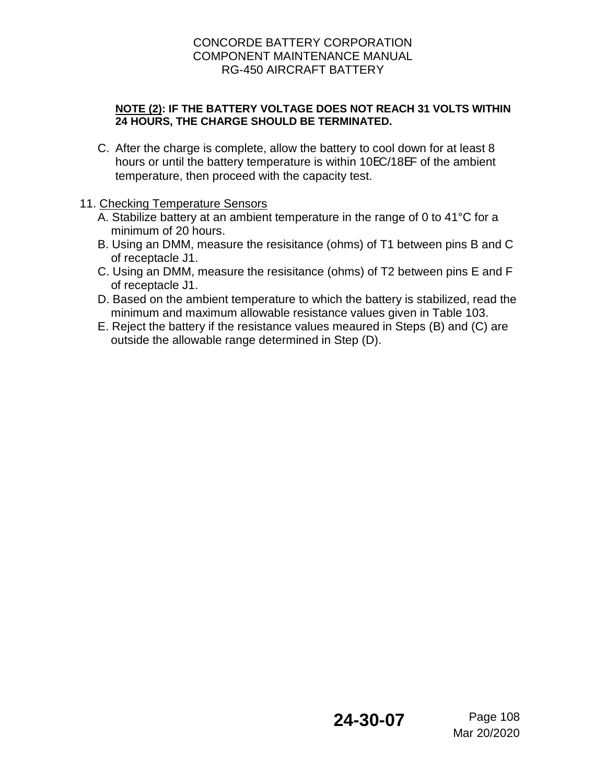### **NOTE (2): IF THE BATTERY VOLTAGE DOES NOT REACH 31 VOLTS WITHIN 24 HOURS, THE CHARGE SHOULD BE TERMINATED.**

C. After the charge is complete, allow the battery to cool down for at least 8 hours or until the battery temperature is within 10EC/18EF of the ambient temperature, then proceed with the capacity test.

### 11. Checking Temperature Sensors

- A. Stabilize battery at an ambient temperature in the range of 0 to 41°C for a minimum of 20 hours.
- B. Using an DMM, measure the resisitance (ohms) of T1 between pins B and C of receptacle J1.
- C. Using an DMM, measure the resisitance (ohms) of T2 between pins E and F of receptacle J1.
- D. Based on the ambient temperature to which the battery is stabilized, read the minimum and maximum allowable resistance values given in Table 103.
- E. Reject the battery if the resistance values meaured in Steps (B) and (C) are outside the allowable range determined in Step (D).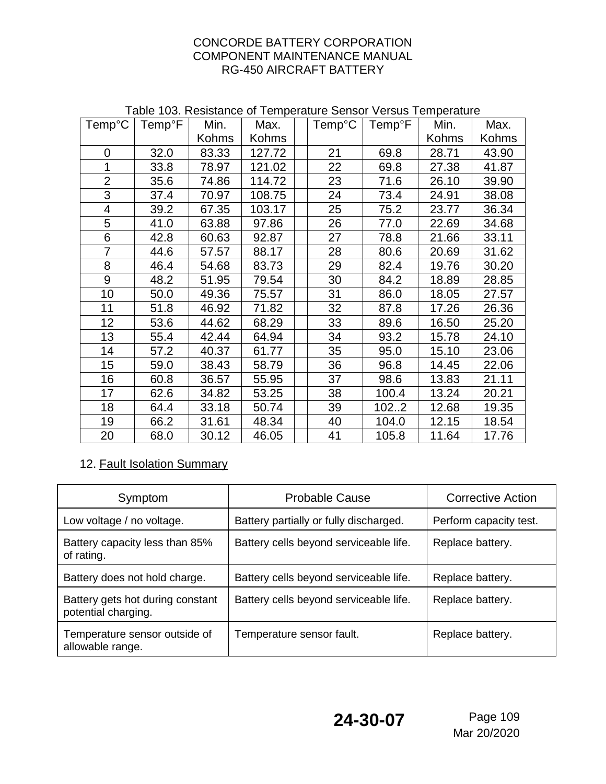| Temp <sup>°</sup> C      | <b>Temp</b> <sup>°</sup> F | Min.  | Max.   | Temp <sup>°</sup> C | <b>Temp</b> <sup>°</sup> F | Min.         | Max.  |
|--------------------------|----------------------------|-------|--------|---------------------|----------------------------|--------------|-------|
|                          |                            | Kohms | Kohms  |                     |                            | <b>Kohms</b> | Kohms |
| $\overline{0}$           | 32.0                       | 83.33 | 127.72 | 21                  | 69.8                       | 28.71        | 43.90 |
| 1                        | 33.8                       | 78.97 | 121.02 | 22                  | 69.8                       | 27.38        | 41.87 |
| $\overline{2}$           | 35.6                       | 74.86 | 114.72 | 23                  | 71.6                       | 26.10        | 39.90 |
| 3                        | 37.4                       | 70.97 | 108.75 | 24                  | 73.4                       | 24.91        | 38.08 |
| $\overline{\mathcal{A}}$ | 39.2                       | 67.35 | 103.17 | 25                  | 75.2                       | 23.77        | 36.34 |
| 5                        | 41.0                       | 63.88 | 97.86  | 26                  | 77.0                       | 22.69        | 34.68 |
| 6                        | 42.8                       | 60.63 | 92.87  | 27                  | 78.8                       | 21.66        | 33.11 |
| $\overline{7}$           | 44.6                       | 57.57 | 88.17  | 28                  | 80.6                       | 20.69        | 31.62 |
| 8                        | 46.4                       | 54.68 | 83.73  | 29                  | 82.4                       | 19.76        | 30.20 |
| 9                        | 48.2                       | 51.95 | 79.54  | 30                  | 84.2                       | 18.89        | 28.85 |
| 10                       | 50.0                       | 49.36 | 75.57  | 31                  | 86.0                       | 18.05        | 27.57 |
| 11                       | 51.8                       | 46.92 | 71.82  | 32                  | 87.8                       | 17.26        | 26.36 |
| 12                       | 53.6                       | 44.62 | 68.29  | 33                  | 89.6                       | 16.50        | 25.20 |
| 13                       | 55.4                       | 42.44 | 64.94  | 34                  | 93.2                       | 15.78        | 24.10 |
| 14                       | 57.2                       | 40.37 | 61.77  | 35                  | 95.0                       | 15.10        | 23.06 |
| 15                       | 59.0                       | 38.43 | 58.79  | 36                  | 96.8                       | 14.45        | 22.06 |
| 16                       | 60.8                       | 36.57 | 55.95  | 37                  | 98.6                       | 13.83        | 21.11 |
| 17                       | 62.6                       | 34.82 | 53.25  | 38                  | 100.4                      | 13.24        | 20.21 |
| 18                       | 64.4                       | 33.18 | 50.74  | 39                  | 1022                       | 12.68        | 19.35 |
| 19                       | 66.2                       | 31.61 | 48.34  | 40                  | 104.0                      | 12.15        | 18.54 |
| 20                       | 68.0                       | 30.12 | 46.05  | 41                  | 105.8                      | 11.64        | 17.76 |

## Table 103. Resistance of Temperature Sensor Versus Temperature

# 12. Fault Isolation Summary

| Symptom                                                 | <b>Probable Cause</b>                  | <b>Corrective Action</b> |  |
|---------------------------------------------------------|----------------------------------------|--------------------------|--|
| Low voltage / no voltage.                               | Battery partially or fully discharged. | Perform capacity test.   |  |
| Battery capacity less than 85%<br>of rating.            | Battery cells beyond serviceable life. | Replace battery.         |  |
| Battery does not hold charge.                           | Battery cells beyond serviceable life. | Replace battery.         |  |
| Battery gets hot during constant<br>potential charging. | Battery cells beyond serviceable life. | Replace battery.         |  |
| Temperature sensor outside of<br>allowable range.       | Temperature sensor fault.              | Replace battery.         |  |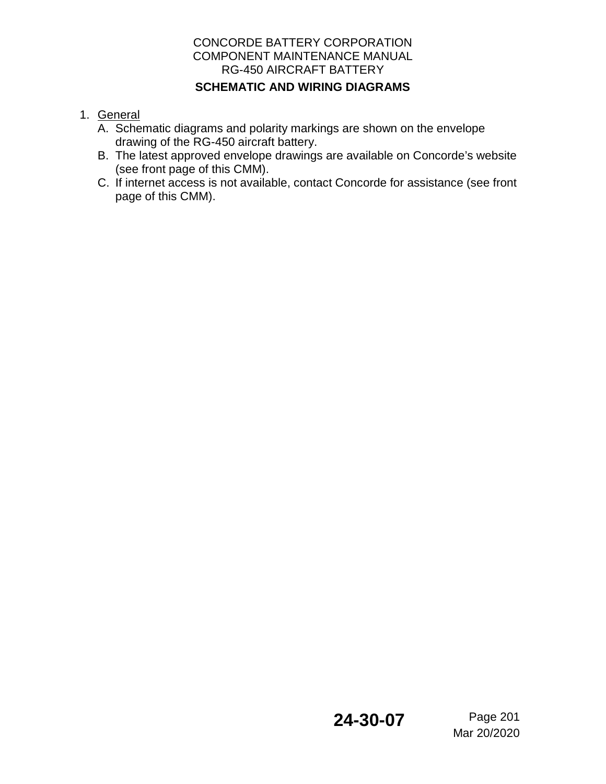### CONCORDE BATTERY CORPORATION COMPONENT MAINTENANCE MANUAL RG-450 AIRCRAFT BATTERY **SCHEMATIC AND WIRING DIAGRAMS**

- 1. General
	- A. Schematic diagrams and polarity markings are shown on the envelope drawing of the RG-450 aircraft battery.
	- B. The latest approved envelope drawings are available on Concorde's website (see front page of this CMM).
	- C. If internet access is not available, contact Concorde for assistance (see front page of this CMM).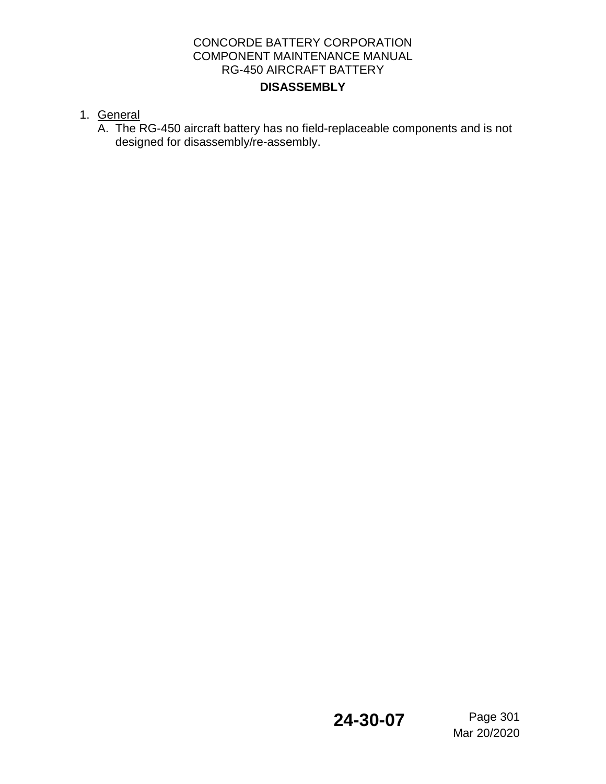- 1. General
	- A. The RG-450 aircraft battery has no field-replaceable components and is not designed for disassembly/re-assembly.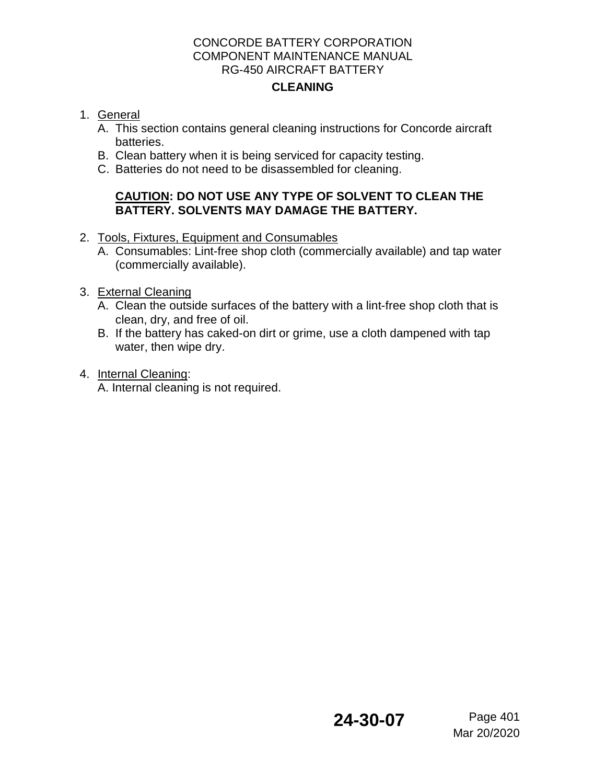# **CLEANING**

### 1. General

- A. This section contains general cleaning instructions for Concorde aircraft batteries.
- B. Clean battery when it is being serviced for capacity testing.
- C. Batteries do not need to be disassembled for cleaning.

### **CAUTION: DO NOT USE ANY TYPE OF SOLVENT TO CLEAN THE BATTERY. SOLVENTS MAY DAMAGE THE BATTERY.**

- 2. Tools, Fixtures, Equipment and Consumables
	- A. Consumables: Lint-free shop cloth (commercially available) and tap water (commercially available).
- 3. External Cleaning
	- A. Clean the outside surfaces of the battery with a lint-free shop cloth that is clean, dry, and free of oil.
	- B. If the battery has caked-on dirt or grime, use a cloth dampened with tap water, then wipe dry.
- 4. Internal Cleaning:

A. Internal cleaning is not required.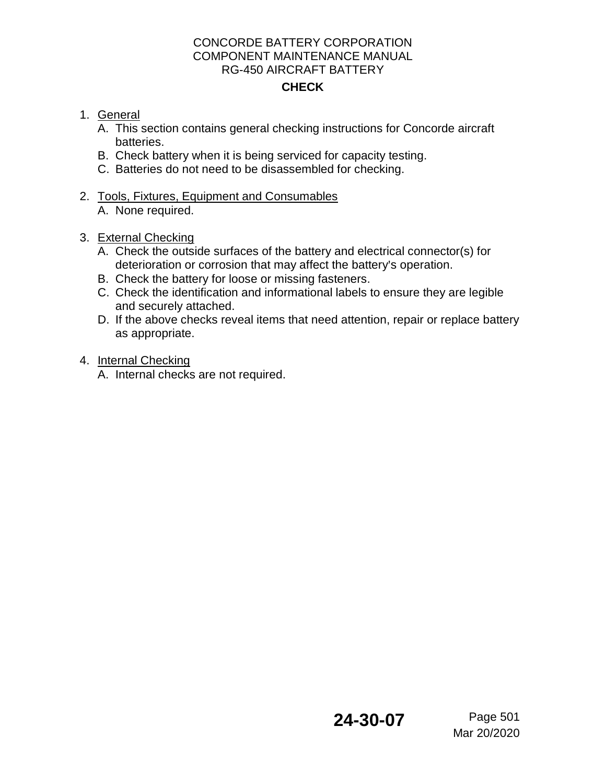## 1. General

- A. This section contains general checking instructions for Concorde aircraft batteries.
- B. Check battery when it is being serviced for capacity testing.
- C. Batteries do not need to be disassembled for checking.
- 2. Tools, Fixtures, Equipment and Consumables
	- A. None required.
- 3. External Checking
	- A. Check the outside surfaces of the battery and electrical connector(s) for deterioration or corrosion that may affect the battery's operation.
	- B. Check the battery for loose or missing fasteners.
	- C. Check the identification and informational labels to ensure they are legible and securely attached.
	- D. If the above checks reveal items that need attention, repair or replace battery as appropriate.
- 4. Internal Checking
	- A. Internal checks are not required.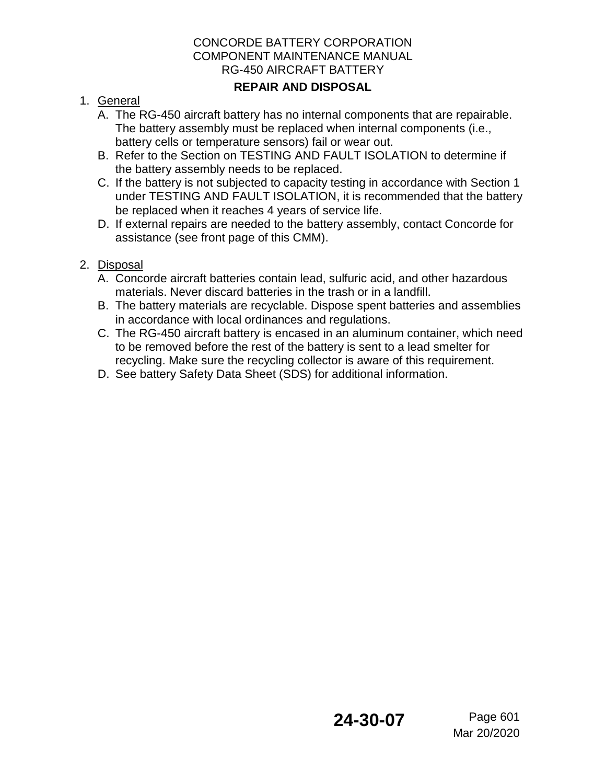## **REPAIR AND DISPOSAL**

## 1. General

- A. The RG-450 aircraft battery has no internal components that are repairable. The battery assembly must be replaced when internal components (i.e., battery cells or temperature sensors) fail or wear out.
- B. Refer to the Section on TESTING AND FAULT ISOLATION to determine if the battery assembly needs to be replaced.
- C. If the battery is not subjected to capacity testing in accordance with Section 1 under TESTING AND FAULT ISOLATION, it is recommended that the battery be replaced when it reaches 4 years of service life.
- D. If external repairs are needed to the battery assembly, contact Concorde for assistance (see front page of this CMM).

# 2. Disposal

- A. Concorde aircraft batteries contain lead, sulfuric acid, and other hazardous materials. Never discard batteries in the trash or in a landfill.
- B. The battery materials are recyclable. Dispose spent batteries and assemblies in accordance with local ordinances and regulations.
- C. The RG-450 aircraft battery is encased in an aluminum container, which need to be removed before the rest of the battery is sent to a lead smelter for recycling. Make sure the recycling collector is aware of this requirement.
- D. See battery Safety Data Sheet (SDS) for additional information.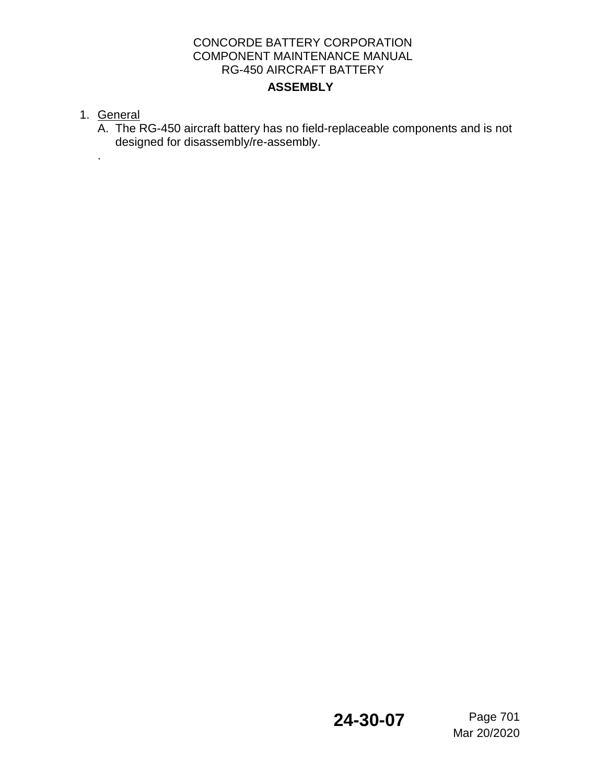1. General

.

A. The RG-450 aircraft battery has no field-replaceable components and is not designed for disassembly/re-assembly.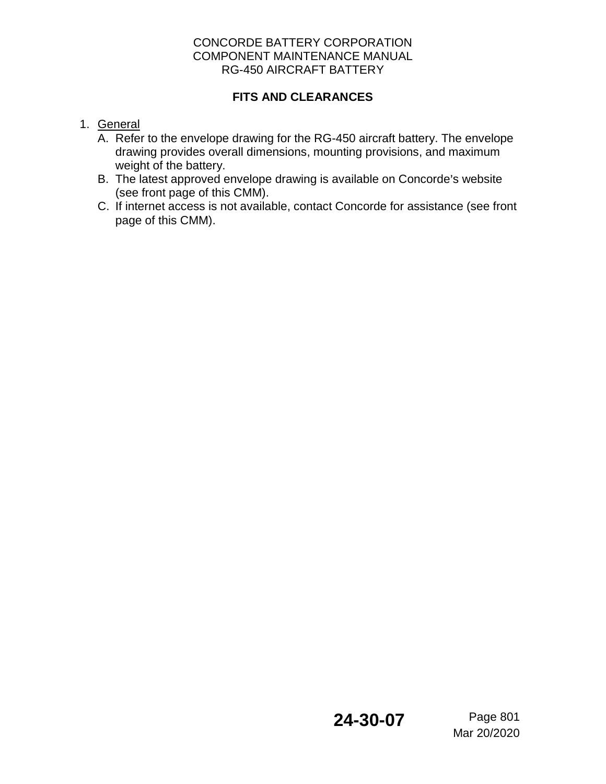### **FITS AND CLEARANCES**

- 1. General
	- A. Refer to the envelope drawing for the RG-450 aircraft battery. The envelope drawing provides overall dimensions, mounting provisions, and maximum weight of the battery.
	- B. The latest approved envelope drawing is available on Concorde's website (see front page of this CMM).
	- C. If internet access is not available, contact Concorde for assistance (see front page of this CMM).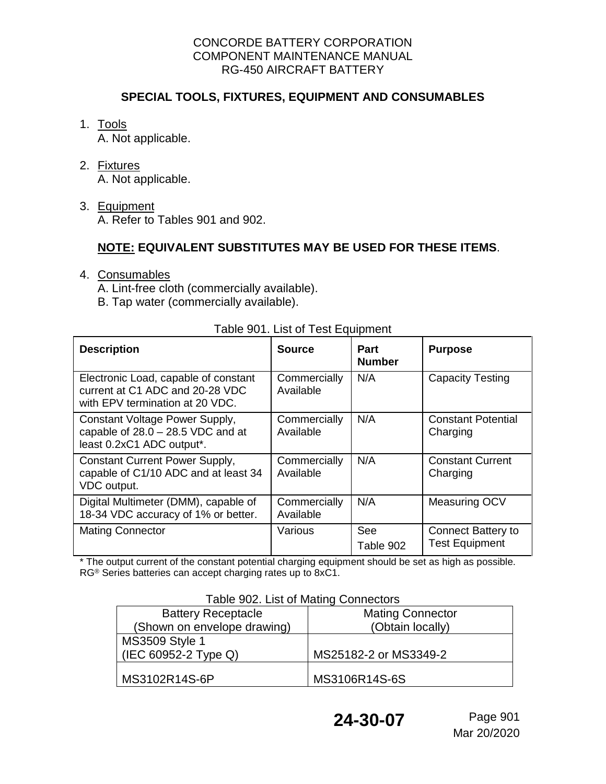### **SPECIAL TOOLS, FIXTURES, EQUIPMENT AND CONSUMABLES**

### 1. Tools

A. Not applicable.

### 2. Fixtures

A. Not applicable.

## 3. Equipment

A. Refer to Tables 901 and 902.

## **NOTE: EQUIVALENT SUBSTITUTES MAY BE USED FOR THESE ITEMS**.

- 4. Consumables
	- A. Lint-free cloth (commercially available).
	- B. Tap water (commercially available).

| , abio 00 Liot or 100t Lquipmont                                                                           |                           |                              |                                             |  |  |  |  |
|------------------------------------------------------------------------------------------------------------|---------------------------|------------------------------|---------------------------------------------|--|--|--|--|
| <b>Description</b>                                                                                         | <b>Source</b>             | <b>Part</b><br><b>Number</b> | <b>Purpose</b>                              |  |  |  |  |
| Electronic Load, capable of constant<br>current at C1 ADC and 20-28 VDC<br>with EPV termination at 20 VDC. | Commercially<br>Available | N/A                          | <b>Capacity Testing</b>                     |  |  |  |  |
| Constant Voltage Power Supply,<br>capable of $28.0 - 28.5$ VDC and at<br>least 0.2xC1 ADC output*.         | Commercially<br>Available | N/A                          | <b>Constant Potential</b><br>Charging       |  |  |  |  |
| <b>Constant Current Power Supply,</b><br>capable of C1/10 ADC and at least 34<br>VDC output.               | Commercially<br>Available | N/A                          | <b>Constant Current</b><br>Charging         |  |  |  |  |
| Digital Multimeter (DMM), capable of<br>18-34 VDC accuracy of 1% or better.                                | Commercially<br>Available | N/A                          | Measuring OCV                               |  |  |  |  |
| <b>Mating Connector</b>                                                                                    | Various                   | See<br>Table 902             | Connect Battery to<br><b>Test Equipment</b> |  |  |  |  |

Table 901. List of Test Equipment

\* The output current of the constant potential charging equipment should be set as high as possible. RG® Series batteries can accept charging rates up to 8xC1.

### Table 902. List of Mating Connectors

| <b>Battery Receptacle</b>   | <b>Mating Connector</b> |  |
|-----------------------------|-------------------------|--|
| (Shown on envelope drawing) | (Obtain locally)        |  |
| <b>MS3509 Style 1</b>       |                         |  |
| (IEC 60952-2 Type Q)        | MS25182-2 or MS3349-2   |  |
|                             |                         |  |
| MS3102R14S-6P               | MS3106R14S-6S           |  |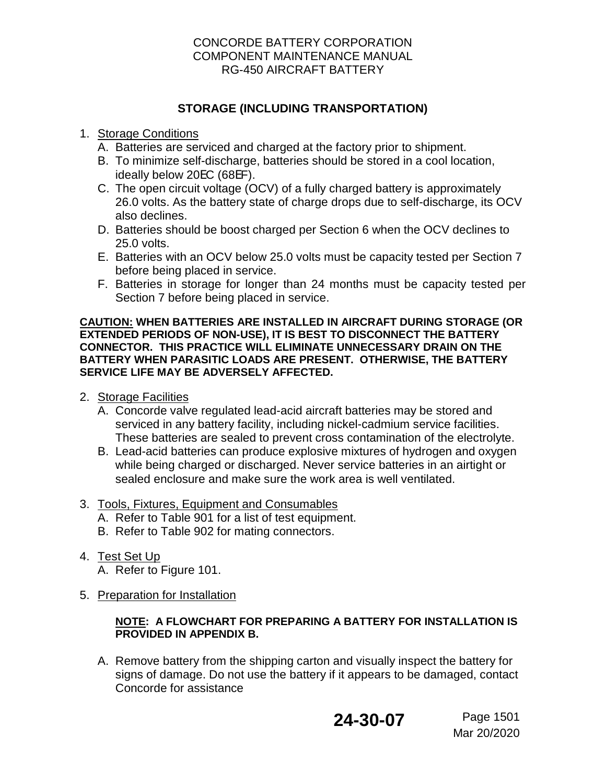### **STORAGE (INCLUDING TRANSPORTATION)**

### 1. Storage Conditions

- A. Batteries are serviced and charged at the factory prior to shipment.
- B. To minimize self-discharge, batteries should be stored in a cool location, ideally below 20EC (68EF).
- C. The open circuit voltage (OCV) of a fully charged battery is approximately 26.0 volts. As the battery state of charge drops due to self-discharge, its OCV also declines.
- D. Batteries should be boost charged per Section 6 when the OCV declines to 25.0 volts.
- E. Batteries with an OCV below 25.0 volts must be capacity tested per Section 7 before being placed in service.
- F. Batteries in storage for longer than 24 months must be capacity tested per Section 7 before being placed in service.

#### **CAUTION: WHEN BATTERIES ARE INSTALLED IN AIRCRAFT DURING STORAGE (OR EXTENDED PERIODS OF NON-USE), IT IS BEST TO DISCONNECT THE BATTERY CONNECTOR. THIS PRACTICE WILL ELIMINATE UNNECESSARY DRAIN ON THE BATTERY WHEN PARASITIC LOADS ARE PRESENT. OTHERWISE, THE BATTERY SERVICE LIFE MAY BE ADVERSELY AFFECTED.**

- 2. Storage Facilities
	- A. Concorde valve regulated lead-acid aircraft batteries may be stored and serviced in any battery facility, including nickel-cadmium service facilities. These batteries are sealed to prevent cross contamination of the electrolyte.
	- B. Lead-acid batteries can produce explosive mixtures of hydrogen and oxygen while being charged or discharged. Never service batteries in an airtight or sealed enclosure and make sure the work area is well ventilated.

### 3. Tools, Fixtures, Equipment and Consumables

- A. Refer to Table 901 for a list of test equipment.
- B. Refer to Table 902 for mating connectors.
- 4. Test Set Up
	- A. Refer to Figure 101.
- 5. Preparation for Installation

### **NOTE: A FLOWCHART FOR PREPARING A BATTERY FOR INSTALLATION IS PROVIDED IN APPENDIX B.**

A. Remove battery from the shipping carton and visually inspect the battery for signs of damage. Do not use the battery if it appears to be damaged, contact Concorde for assistance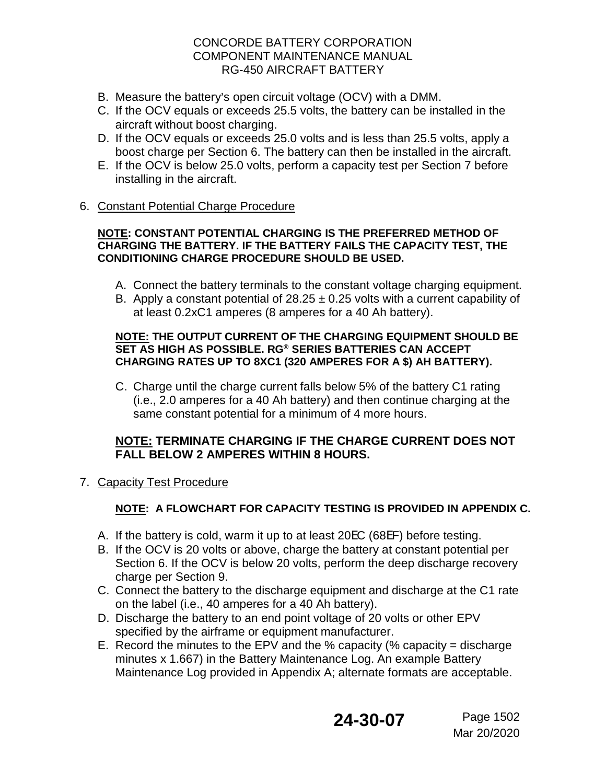- B. Measure the battery's open circuit voltage (OCV) with a DMM.
- C. If the OCV equals or exceeds 25.5 volts, the battery can be installed in the aircraft without boost charging.
- D. If the OCV equals or exceeds 25.0 volts and is less than 25.5 volts, apply a boost charge per Section 6. The battery can then be installed in the aircraft.
- E. If the OCV is below 25.0 volts, perform a capacity test per Section 7 before installing in the aircraft.

### 6. Constant Potential Charge Procedure

#### **NOTE: CONSTANT POTENTIAL CHARGING IS THE PREFERRED METHOD OF CHARGING THE BATTERY. IF THE BATTERY FAILS THE CAPACITY TEST, THE CONDITIONING CHARGE PROCEDURE SHOULD BE USED.**

- A. Connect the battery terminals to the constant voltage charging equipment.
- B. Apply a constant potential of  $28.25 \pm 0.25$  volts with a current capability of at least 0.2xC1 amperes (8 amperes for a 40 Ah battery).

#### **NOTE: THE OUTPUT CURRENT OF THE CHARGING EQUIPMENT SHOULD BE SET AS HIGH AS POSSIBLE. RG® SERIES BATTERIES CAN ACCEPT CHARGING RATES UP TO 8XC1 (320 AMPERES FOR A \$) AH BATTERY).**

C. Charge until the charge current falls below 5% of the battery C1 rating (i.e., 2.0 amperes for a 40 Ah battery) and then continue charging at the same constant potential for a minimum of 4 more hours.

### **NOTE: TERMINATE CHARGING IF THE CHARGE CURRENT DOES NOT FALL BELOW 2 AMPERES WITHIN 8 HOURS.**

7. Capacity Test Procedure

# **NOTE: A FLOWCHART FOR CAPACITY TESTING IS PROVIDED IN APPENDIX C.**

- A. If the battery is cold, warm it up to at least 20EC (68EF) before testing.
- B. If the OCV is 20 volts or above, charge the battery at constant potential per Section 6. If the OCV is below 20 volts, perform the deep discharge recovery charge per Section 9.
- C. Connect the battery to the discharge equipment and discharge at the C1 rate on the label (i.e., 40 amperes for a 40 Ah battery).
- D. Discharge the battery to an end point voltage of 20 volts or other EPV specified by the airframe or equipment manufacturer.
- E. Record the minutes to the EPV and the % capacity (% capacity = discharge minutes x 1.667) in the Battery Maintenance Log. An example Battery Maintenance Log provided in Appendix A; alternate formats are acceptable.

# **24-30-07** Page 1502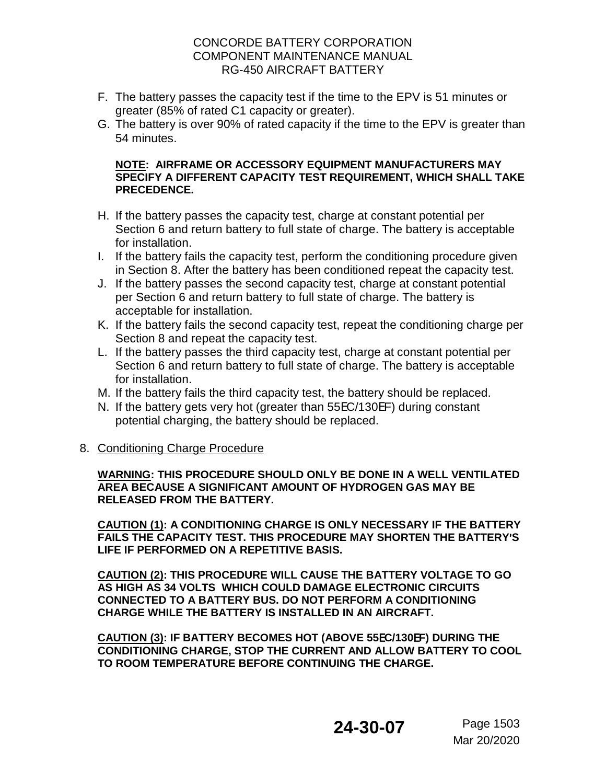- F. The battery passes the capacity test if the time to the EPV is 51 minutes or greater (85% of rated C1 capacity or greater).
- G. The battery is over 90% of rated capacity if the time to the EPV is greater than 54 minutes.

#### **NOTE: AIRFRAME OR ACCESSORY EQUIPMENT MANUFACTURERS MAY SPECIFY A DIFFERENT CAPACITY TEST REQUIREMENT, WHICH SHALL TAKE PRECEDENCE.**

- H. If the battery passes the capacity test, charge at constant potential per Section 6 and return battery to full state of charge. The battery is acceptable for installation.
- I. If the battery fails the capacity test, perform the conditioning procedure given in Section 8. After the battery has been conditioned repeat the capacity test.
- J. If the battery passes the second capacity test, charge at constant potential per Section 6 and return battery to full state of charge. The battery is acceptable for installation.
- K. If the battery fails the second capacity test, repeat the conditioning charge per Section 8 and repeat the capacity test.
- L. If the battery passes the third capacity test, charge at constant potential per Section 6 and return battery to full state of charge. The battery is acceptable for installation.
- M. If the battery fails the third capacity test, the battery should be replaced.
- N. If the battery gets very hot (greater than 55EC/130EF) during constant potential charging, the battery should be replaced.

### 8. Conditioning Charge Procedure

#### **WARNING: THIS PROCEDURE SHOULD ONLY BE DONE IN A WELL VENTILATED AREA BECAUSE A SIGNIFICANT AMOUNT OF HYDROGEN GAS MAY BE RELEASED FROM THE BATTERY.**

**CAUTION (1): A CONDITIONING CHARGE IS ONLY NECESSARY IF THE BATTERY FAILS THE CAPACITY TEST. THIS PROCEDURE MAY SHORTEN THE BATTERY**=**S LIFE IF PERFORMED ON A REPETITIVE BASIS.**

**CAUTION (2): THIS PROCEDURE WILL CAUSE THE BATTERY VOLTAGE TO GO AS HIGH AS 34 VOLTS WHICH COULD DAMAGE ELECTRONIC CIRCUITS CONNECTED TO A BATTERY BUS. DO NOT PERFORM A CONDITIONING CHARGE WHILE THE BATTERY IS INSTALLED IN AN AIRCRAFT.**

**CAUTION (3): IF BATTERY BECOMES HOT (ABOVE 55**E**C/130**E**F) DURING THE CONDITIONING CHARGE, STOP THE CURRENT AND ALLOW BATTERY TO COOL TO ROOM TEMPERATURE BEFORE CONTINUING THE CHARGE.**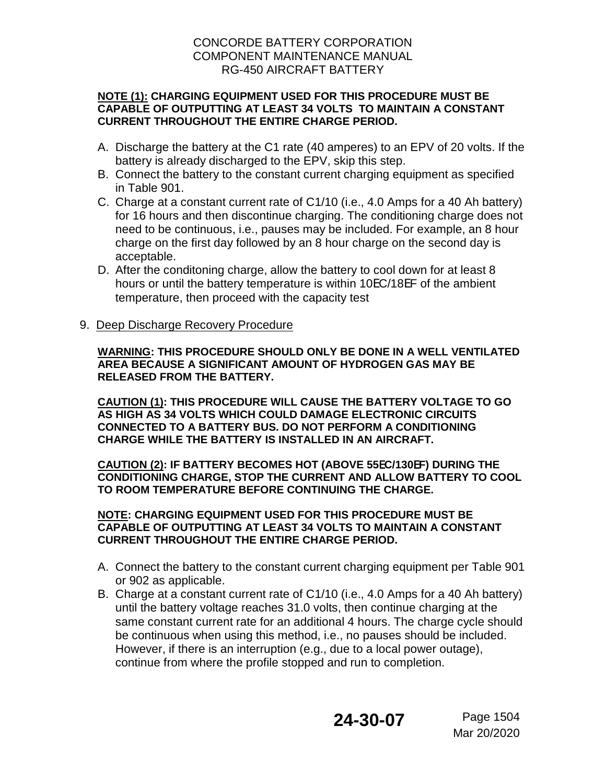#### **NOTE (1): CHARGING EQUIPMENT USED FOR THIS PROCEDURE MUST BE CAPABLE OF OUTPUTTING AT LEAST 34 VOLTS TO MAINTAIN A CONSTANT CURRENT THROUGHOUT THE ENTIRE CHARGE PERIOD.**

- A. Discharge the battery at the C1 rate (40 amperes) to an EPV of 20 volts. If the battery is already discharged to the EPV, skip this step.
- B. Connect the battery to the constant current charging equipment as specified in Table 901.
- C. Charge at a constant current rate of C1/10 (i.e., 4.0 Amps for a 40 Ah battery) for 16 hours and then discontinue charging. The conditioning charge does not need to be continuous, i.e., pauses may be included. For example, an 8 hour charge on the first day followed by an 8 hour charge on the second day is acceptable.
- D. After the conditoning charge, allow the battery to cool down for at least 8 hours or until the battery temperature is within 10EC/18EF of the ambient temperature, then proceed with the capacity test
- 9. Deep Discharge Recovery Procedure

**WARNING: THIS PROCEDURE SHOULD ONLY BE DONE IN A WELL VENTILATED AREA BECAUSE A SIGNIFICANT AMOUNT OF HYDROGEN GAS MAY BE RELEASED FROM THE BATTERY.**

**CAUTION (1): THIS PROCEDURE WILL CAUSE THE BATTERY VOLTAGE TO GO AS HIGH AS 34 VOLTS WHICH COULD DAMAGE ELECTRONIC CIRCUITS CONNECTED TO A BATTERY BUS. DO NOT PERFORM A CONDITIONING CHARGE WHILE THE BATTERY IS INSTALLED IN AN AIRCRAFT.**

**CAUTION (2): IF BATTERY BECOMES HOT (ABOVE 55**E**C/130**E**F) DURING THE CONDITIONING CHARGE, STOP THE CURRENT AND ALLOW BATTERY TO COOL TO ROOM TEMPERATURE BEFORE CONTINUING THE CHARGE.**

#### **NOTE: CHARGING EQUIPMENT USED FOR THIS PROCEDURE MUST BE CAPABLE OF OUTPUTTING AT LEAST 34 VOLTS TO MAINTAIN A CONSTANT CURRENT THROUGHOUT THE ENTIRE CHARGE PERIOD.**

- A. Connect the battery to the constant current charging equipment per Table 901 or 902 as applicable.
- B. Charge at a constant current rate of C1/10 (i.e., 4.0 Amps for a 40 Ah battery) until the battery voltage reaches 31.0 volts, then continue charging at the same constant current rate for an additional 4 hours. The charge cycle should be continuous when using this method, i.e., no pauses should be included. However, if there is an interruption (e.g., due to a local power outage), continue from where the profile stopped and run to completion.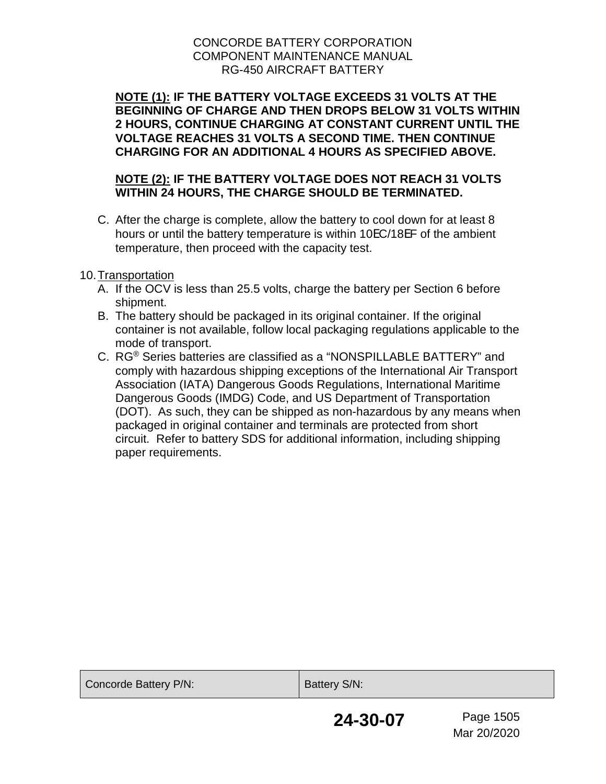**NOTE (1): IF THE BATTERY VOLTAGE EXCEEDS 31 VOLTS AT THE BEGINNING OF CHARGE AND THEN DROPS BELOW 31 VOLTS WITHIN 2 HOURS, CONTINUE CHARGING AT CONSTANT CURRENT UNTIL THE VOLTAGE REACHES 31 VOLTS A SECOND TIME. THEN CONTINUE CHARGING FOR AN ADDITIONAL 4 HOURS AS SPECIFIED ABOVE.**

### **NOTE (2): IF THE BATTERY VOLTAGE DOES NOT REACH 31 VOLTS WITHIN 24 HOURS, THE CHARGE SHOULD BE TERMINATED.**

C. After the charge is complete, allow the battery to cool down for at least 8 hours or until the battery temperature is within 10EC/18EF of the ambient temperature, then proceed with the capacity test.

### 10.Transportation

- A. If the OCV is less than 25.5 volts, charge the battery per Section 6 before shipment.
- B. The battery should be packaged in its original container. If the original container is not available, follow local packaging regulations applicable to the mode of transport.
- C. RG® Series batteries are classified as a "NONSPILLABLE BATTERY" and comply with hazardous shipping exceptions of the International Air Transport Association (IATA) Dangerous Goods Regulations, International Maritime Dangerous Goods (IMDG) Code, and US Department of Transportation (DOT). As such, they can be shipped as non-hazardous by any means when packaged in original container and terminals are protected from short circuit. Refer to battery SDS for additional information, including shipping paper requirements.

| Concorde Battery P/N: | Battery S/N: |                          |  |  |
|-----------------------|--------------|--------------------------|--|--|
|                       | 24-30-07     | Page 1505<br>Mar 20/2020 |  |  |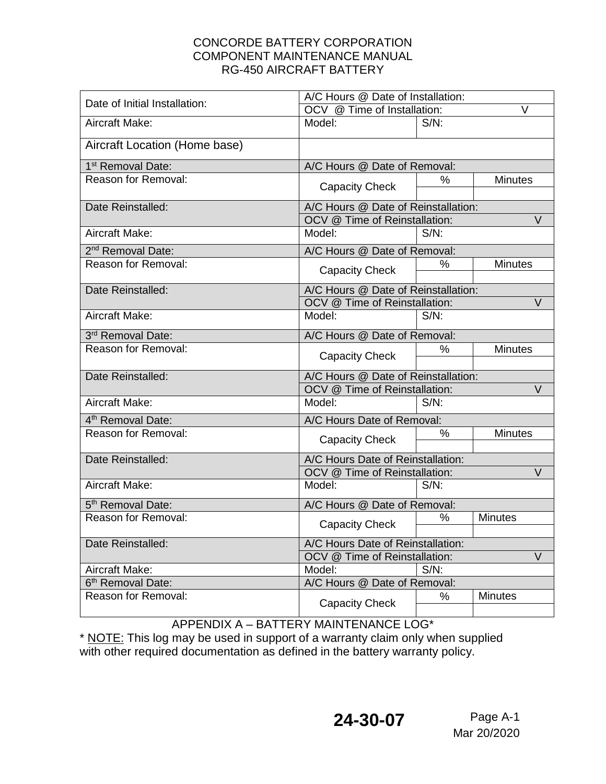| Date of Initial Installation: | A/C Hours @ Date of Installation:       |         |                |  |
|-------------------------------|-----------------------------------------|---------|----------------|--|
|                               | $\vee$<br>OCV @ Time of Installation:   |         |                |  |
| Aircraft Make:                | Model:                                  | $S/N$ : |                |  |
| Aircraft Location (Home base) |                                         |         |                |  |
| 1 <sup>st</sup> Removal Date: | A/C Hours @ Date of Removal:            |         |                |  |
| Reason for Removal:           | <b>Capacity Check</b>                   | %       | <b>Minutes</b> |  |
| Date Reinstalled:             | A/C Hours @ Date of Reinstallation:     |         |                |  |
|                               | OCV @ Time of Reinstallation:<br>V      |         |                |  |
| Aircraft Make:                | Model:                                  | $S/N$ : |                |  |
| 2 <sup>nd</sup> Removal Date: | A/C Hours @ Date of Removal:            |         |                |  |
| Reason for Removal:           | <b>Capacity Check</b>                   | $\%$    | <b>Minutes</b> |  |
| Date Reinstalled:             | A/C Hours @ Date of Reinstallation:     |         |                |  |
|                               | OCV @ Time of Reinstallation:<br>V      |         |                |  |
| Aircraft Make:                | Model:                                  | $S/N$ : |                |  |
| 3rd Removal Date:             | A/C Hours @ Date of Removal:            |         |                |  |
| <b>Reason for Removal:</b>    | <b>Capacity Check</b>                   | %       | <b>Minutes</b> |  |
| Date Reinstalled:             | A/C Hours @ Date of Reinstallation:     |         |                |  |
|                               | OCV @ Time of Reinstallation:<br>V      |         |                |  |
| Aircraft Make:                | Model:                                  | $S/N$ : |                |  |
| 4 <sup>th</sup> Removal Date: | A/C Hours Date of Removal:              |         |                |  |
| Reason for Removal:           | <b>Capacity Check</b>                   | %       | <b>Minutes</b> |  |
| Date Reinstalled:             | A/C Hours Date of Reinstallation:       |         |                |  |
|                               | OCV @ Time of Reinstallation:<br>$\vee$ |         |                |  |
| Aircraft Make:                | Model:                                  | $S/N$ : |                |  |
| 5 <sup>th</sup> Removal Date: | A/C Hours @ Date of Removal:            |         |                |  |
| Reason for Removal:           | <b>Capacity Check</b>                   | %       | <b>Minutes</b> |  |
| Date Reinstalled:             | A/C Hours Date of Reinstallation:       |         |                |  |
|                               | OCV @ Time of Reinstallation:<br>V      |         |                |  |
| Aircraft Make:                | Model:                                  | $S/N$ : |                |  |
| 6 <sup>th</sup> Removal Date: | A/C Hours @ Date of Removal:            |         |                |  |
| Reason for Removal:           | <b>Capacity Check</b>                   | %       | <b>Minutes</b> |  |

APPENDIX A – BATTERY MAINTENANCE LOG\*

\* NOTE: This log may be used in support of a warranty claim only when supplied with other required documentation as defined in the battery warranty policy.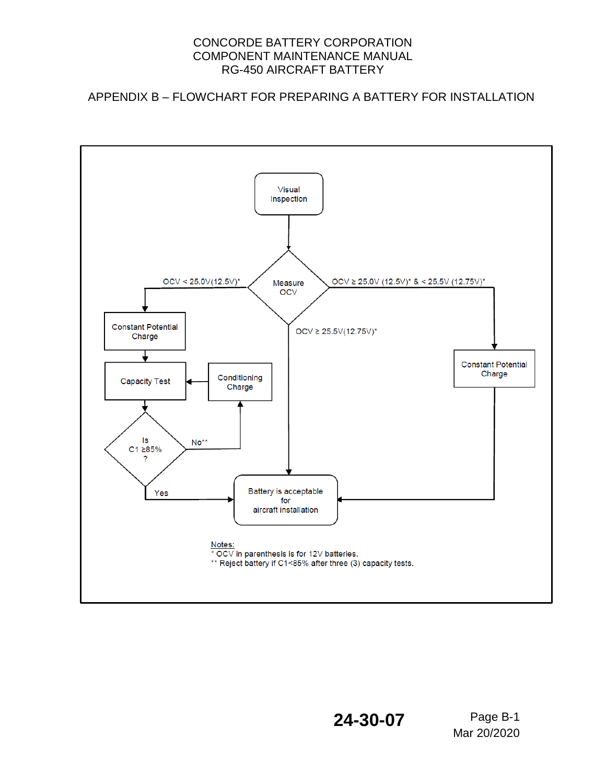APPENDIX B – FLOWCHART FOR PREPARING A BATTERY FOR INSTALLATION